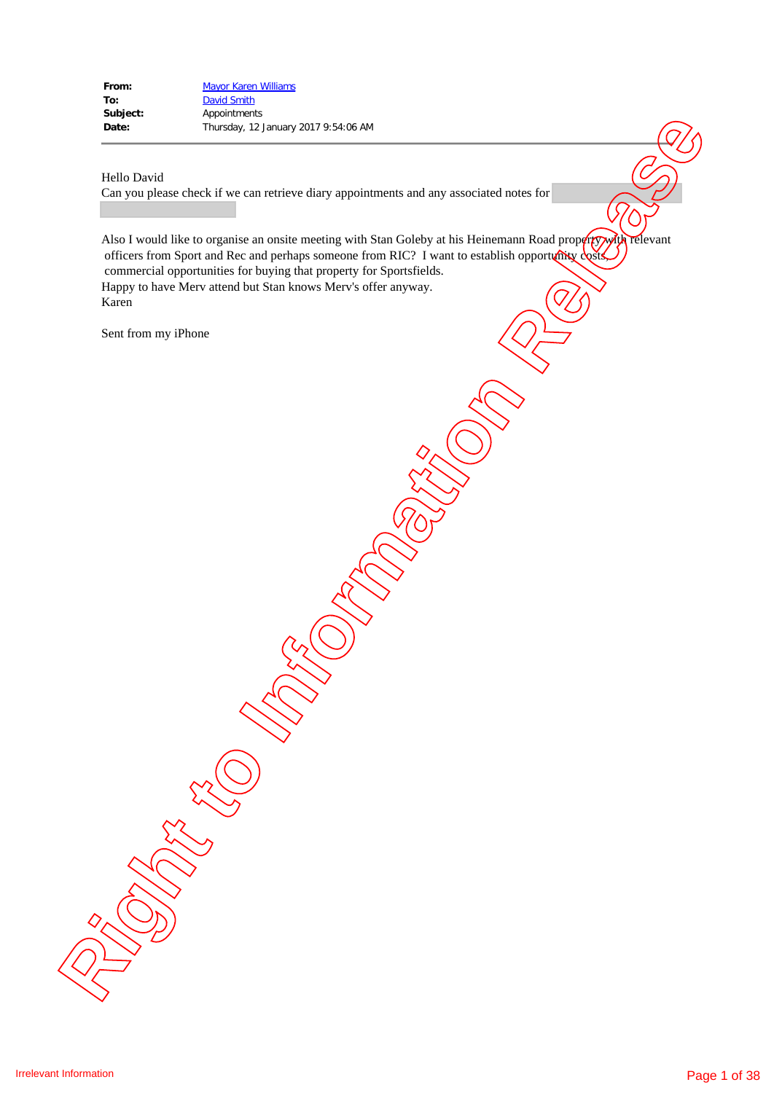| From:    | <b>Mayor Karen Williams</b>          |
|----------|--------------------------------------|
| To:      | David Smith                          |
| Subject: | Appointments                         |
| Date:    | Thursday, 12 January 2017 9:54:06 AM |

### Hello David

Can you please check if we can retrieve diary appointments and any associated notes for

Also I would like to organise an onsite meeting with Stan Goleby at his Heinemann Road property with relevant officers from Sport and Rec and perhaps someone from RIC? I want to establish opportunity  $\cos \omega$  commercial opportunities for buying that property for Sportsfields. Happy to have Merv attend but Stan knows Merv's offer anyway. Karen **Right to Interior Control Control Control Control Control Control Control Control Control Control Control Control Control Control Control Control Control Control Control Control Control Control Control Control Control Con** 

Sent from my iPhone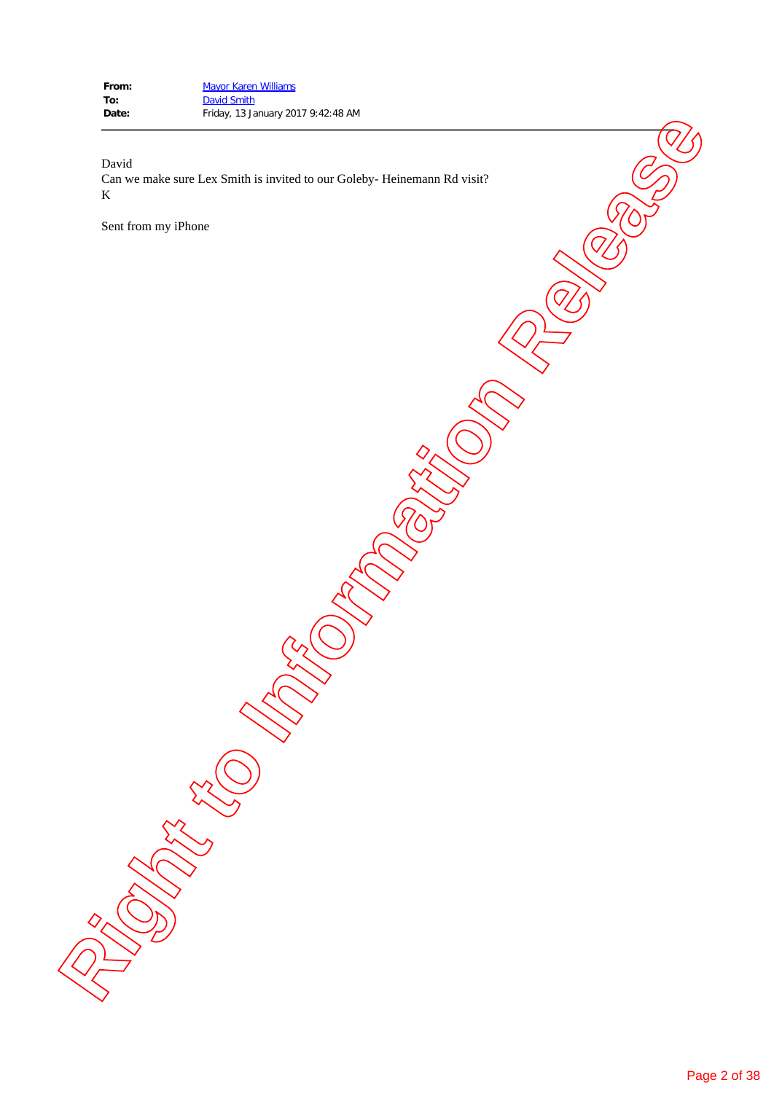| From: | <b>Mayor Karen Williams</b>        |
|-------|------------------------------------|
| To:   | David Smith                        |
| Date: | Friday, 13 January 2017 9:42:48 AM |

David

Can we make sure Lex Smith is invited to our Goleby- Heinemann Rd visit? K **Right to Information Release to Information Release and Release and Release and Release and Release and Release and Release and Release and Release and Release and Release and Release and Release and Release and Release a** 

Sent from my iPhone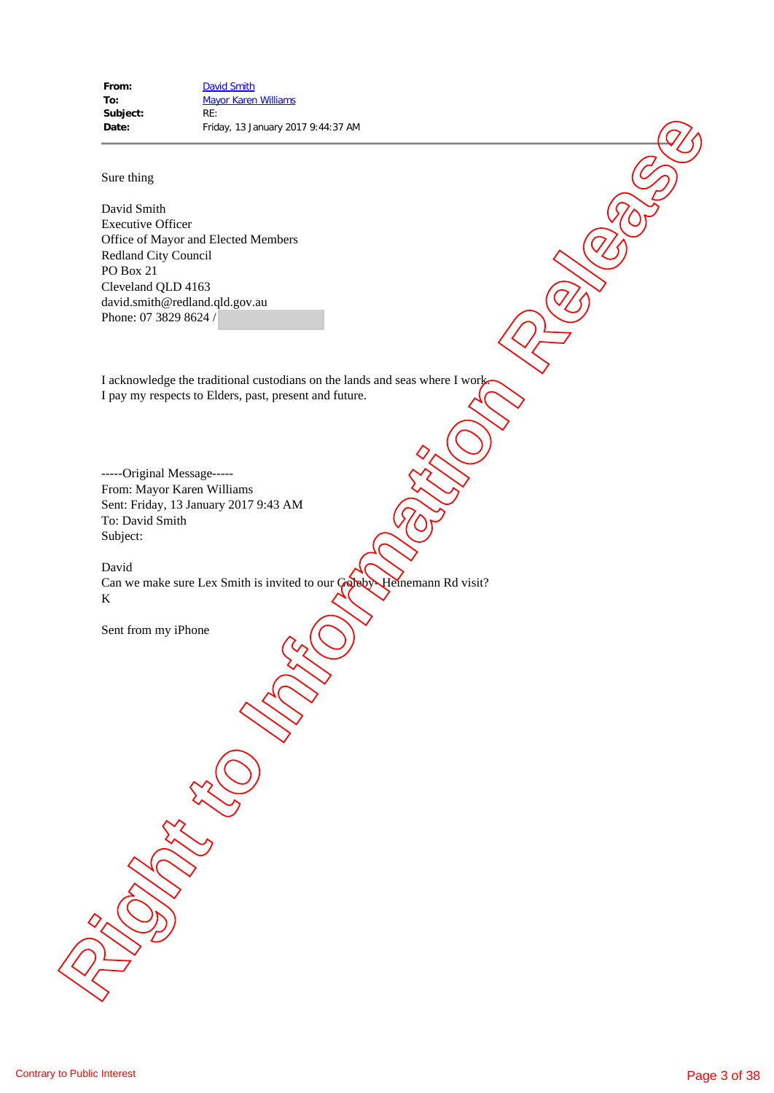Sure thing

David Smith Executive Officer Office of Mayor and Elected Members Redland City Council PO Box 21 Cleveland QLD 4163 david.smith@redland.qld.gov.au Phone: 07 3829 8624 / **Right to International Studies (2003)**<br> **Right to International Studies (2003)**<br> **Right to International Studies (2004)**<br> **Right to International Studies (2004)**<br> **Right to International Studies (2004)**<br> **Right to Interna** 

I acknowledge the traditional custodians on the lands and seas where I wor I pay my respects to Elders, past, present and future.

-----Original Message----- From: Mayor Karen Williams Sent: Friday, 13 January 2017 9:43 AM To: David Smith Subject:

David Can we make sure Lex Smith is invited to our Goleby Heinemann Rd visit? K

Sent from my iPhone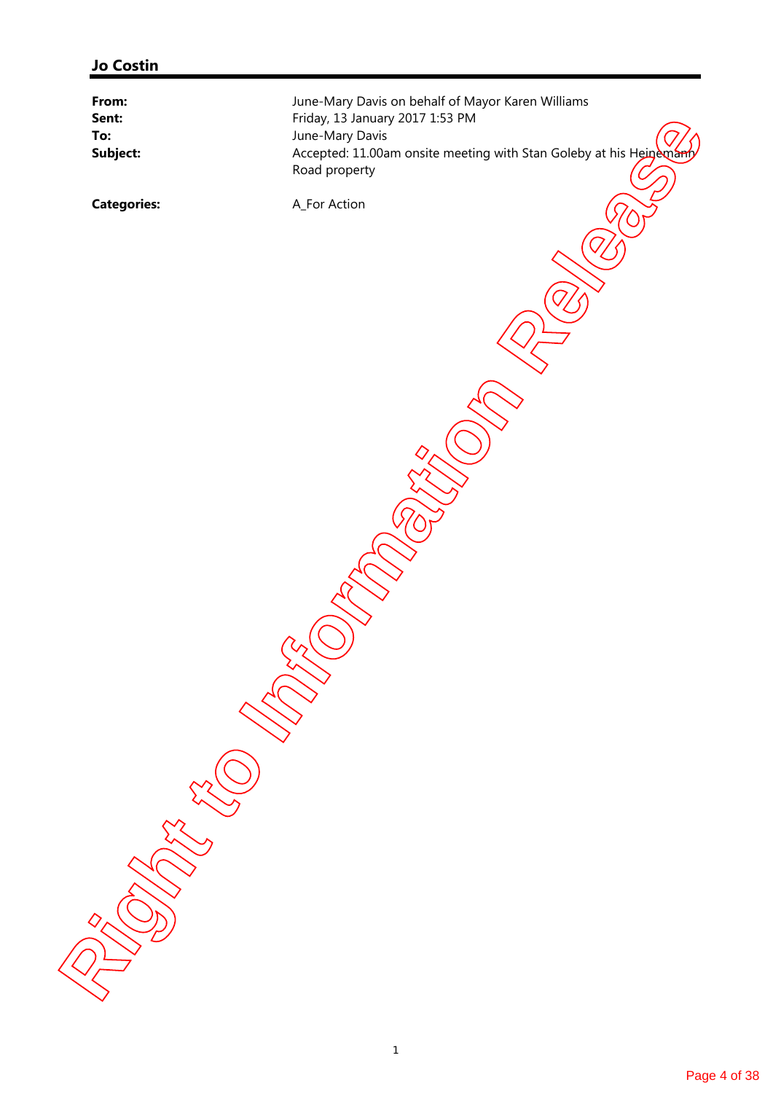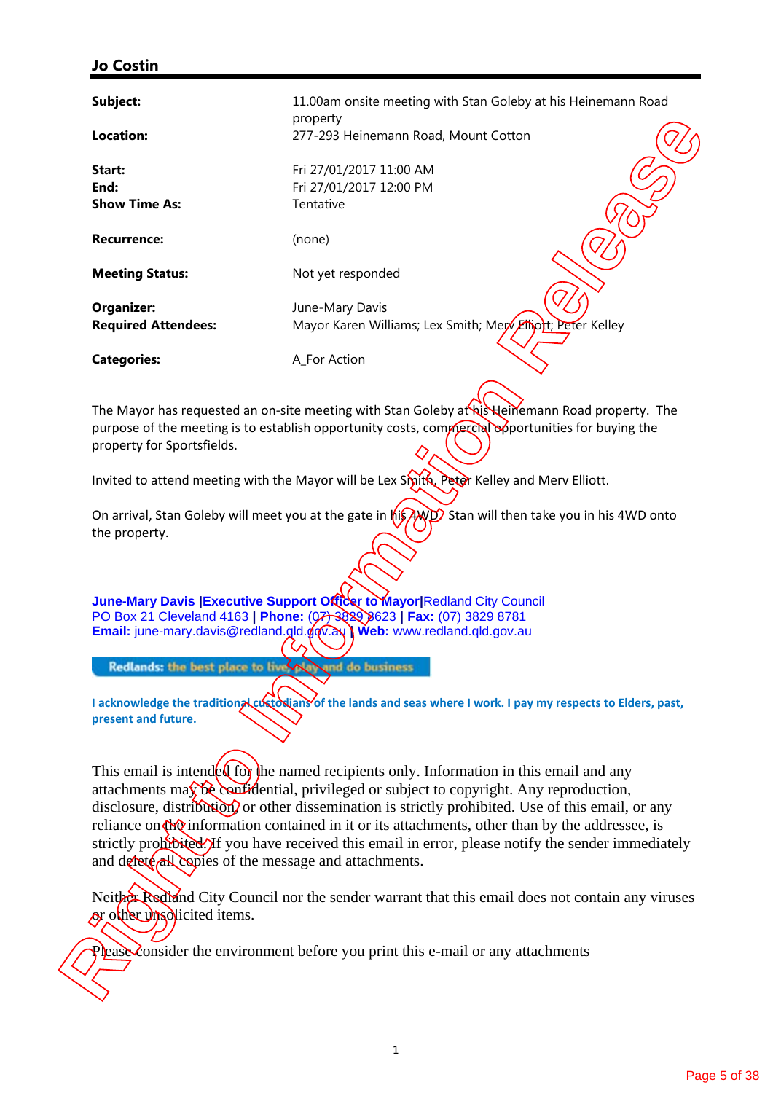### **Jo Costin**

|                                                                                                    | 11.00am onsite meeting with Stan Goleby at his Heinemann Road<br>property                                                                                                                                                                                                                                                                                                                                                                                                                         |
|----------------------------------------------------------------------------------------------------|---------------------------------------------------------------------------------------------------------------------------------------------------------------------------------------------------------------------------------------------------------------------------------------------------------------------------------------------------------------------------------------------------------------------------------------------------------------------------------------------------|
| <b>Location:</b>                                                                                   | 277-293 Heinemann Road, Mount Cotton                                                                                                                                                                                                                                                                                                                                                                                                                                                              |
| Start:                                                                                             | Fri 27/01/2017 11:00 AM                                                                                                                                                                                                                                                                                                                                                                                                                                                                           |
| End:                                                                                               | Fri 27/01/2017 12:00 PM                                                                                                                                                                                                                                                                                                                                                                                                                                                                           |
| <b>Show Time As:</b>                                                                               | Tentative                                                                                                                                                                                                                                                                                                                                                                                                                                                                                         |
| <b>Recurrence:</b>                                                                                 | (none)                                                                                                                                                                                                                                                                                                                                                                                                                                                                                            |
| <b>Meeting Status:</b>                                                                             | Not yet responded                                                                                                                                                                                                                                                                                                                                                                                                                                                                                 |
| <b>Organizer:</b>                                                                                  | June-Mary Davis                                                                                                                                                                                                                                                                                                                                                                                                                                                                                   |
| <b>Required Attendees:</b>                                                                         | Mayor Karen Williams; Lex Smith; MervENigtt; Peter Kelley                                                                                                                                                                                                                                                                                                                                                                                                                                         |
| <b>Categories:</b>                                                                                 | A_For Action                                                                                                                                                                                                                                                                                                                                                                                                                                                                                      |
|                                                                                                    | Invited to attend meeting with the Mayor will be Lex Smith, Peter Kelley and Merv Elliott.                                                                                                                                                                                                                                                                                                                                                                                                        |
|                                                                                                    | On arrival, Stan Goleby will meet you at the gate in $\frac{\hbar \mathcal{G}}{\hbar \mathcal{G}}$ Stan will then take you in his 4WD onto                                                                                                                                                                                                                                                                                                                                                        |
| the property.                                                                                      |                                                                                                                                                                                                                                                                                                                                                                                                                                                                                                   |
|                                                                                                    |                                                                                                                                                                                                                                                                                                                                                                                                                                                                                                   |
|                                                                                                    | June-Mary Davis   Executive Support Officer to Mayor  Redland City Council<br>PO Box 21 Cleveland 4163   Phone: (07) 3829 8623   Fax: (07) 3829 8781<br>Email: june-mary.davis@redland.gld.gov.ay Web: www.redland.gld.gov.au                                                                                                                                                                                                                                                                     |
|                                                                                                    |                                                                                                                                                                                                                                                                                                                                                                                                                                                                                                   |
|                                                                                                    | Redlands: the best place to live was and do business                                                                                                                                                                                                                                                                                                                                                                                                                                              |
|                                                                                                    | I acknowledge the traditional custodians of the lands and seas where I work. I pay my respects to Elders, past,                                                                                                                                                                                                                                                                                                                                                                                   |
| present and future.<br>and $\frac{defect}{d}$ $\frac{d}{d}$ copies of the message and attachments. | This email is intended for the named recipients only. Information in this email and any<br>attachments may be confidential, privileged or subject to copyright. Any reproduction,<br>disclosure, distribution, or other dissemination is strictly prohibited. Use of this email, or any<br>reliance on the information contained in it or its attachments, other than by the addressee, is<br>strictly prohibited. If you have received this email in error, please notify the sender immediately |
| or other <i>difficited</i> items.                                                                  | Neither Rediand City Council nor the sender warrant that this email does not contain any viruses                                                                                                                                                                                                                                                                                                                                                                                                  |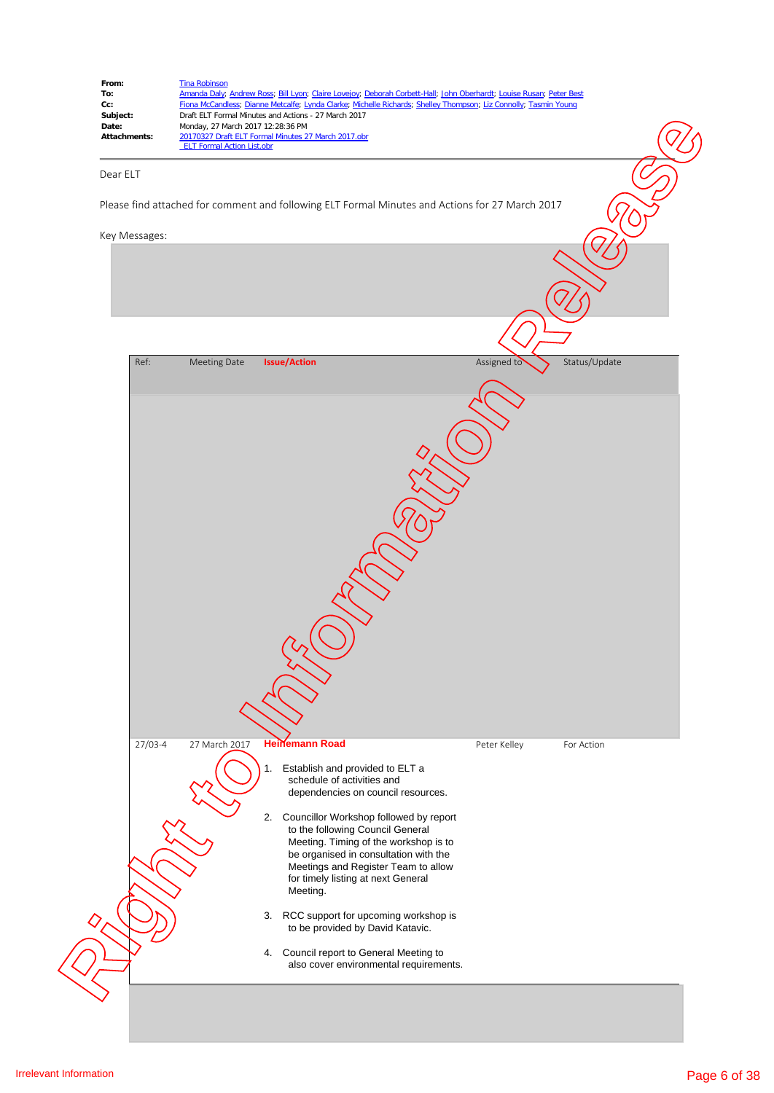| From:        | <b>Tina Robinson</b>                                                                                                |  |
|--------------|---------------------------------------------------------------------------------------------------------------------|--|
| To:          | Amanda Daly; Andrew Ross; Bill Lyon; Claire Lovejoy; Deborah Corbett-Hall; John Oberhardt; Louise Rusan; Peter Best |  |
| Cc:          | Fiona McCandless; Dianne Metcalfe; Lynda Clarke; Michelle Richards; Shelley Thompson; Liz Connolly; Tasmin Young    |  |
| Subject:     | Draft ELT Formal Minutes and Actions - 27 March 2017                                                                |  |
| Date:        | Monday, 27 March 2017 12:28:36 PM                                                                                   |  |
| Attachments: | 20170327 Draft ELT Formal Minutes 27 March 2017.obr                                                                 |  |
|              | <b>ELT Formal Action List.obr</b>                                                                                   |  |
|              |                                                                                                                     |  |

Dear ELT

Please find attached for comment and following ELT Formal Minutes and Actions for 27 March 2017

Key Messages:

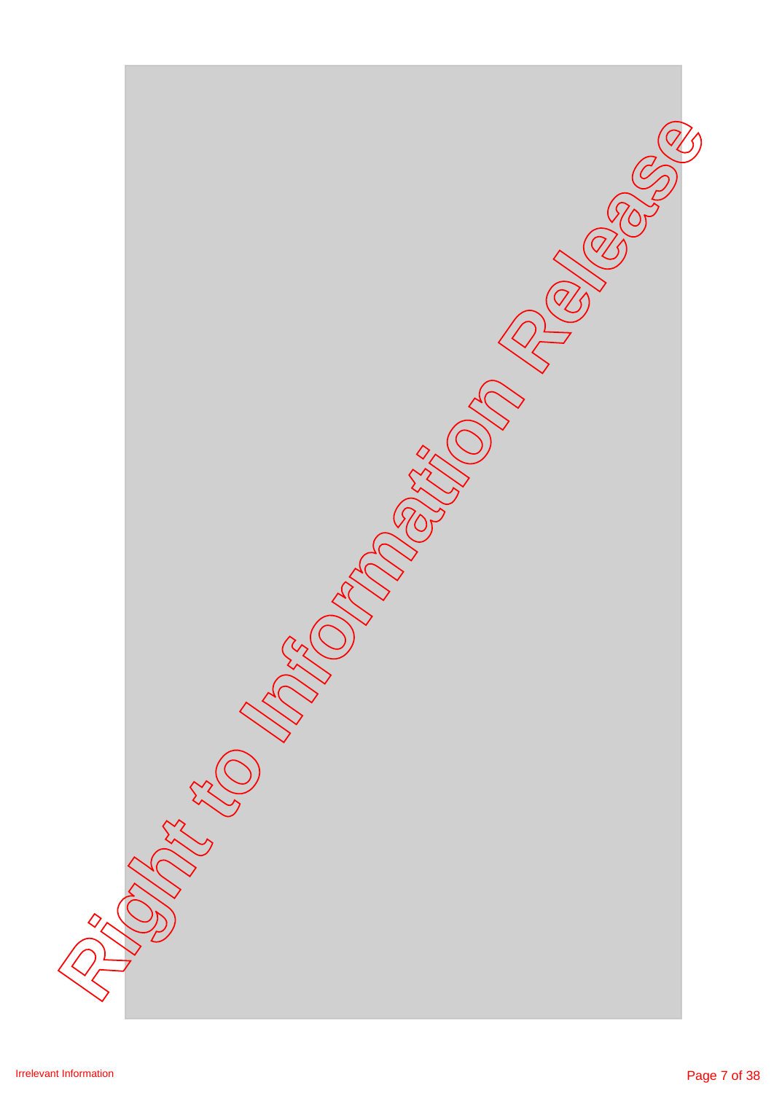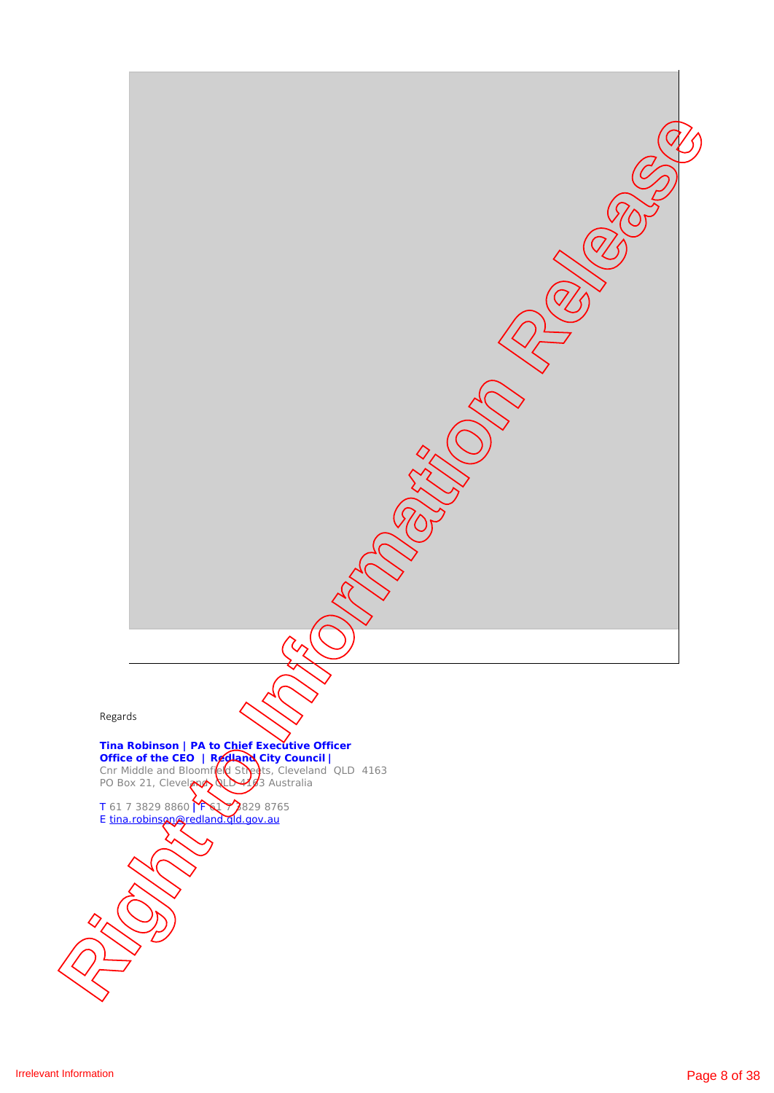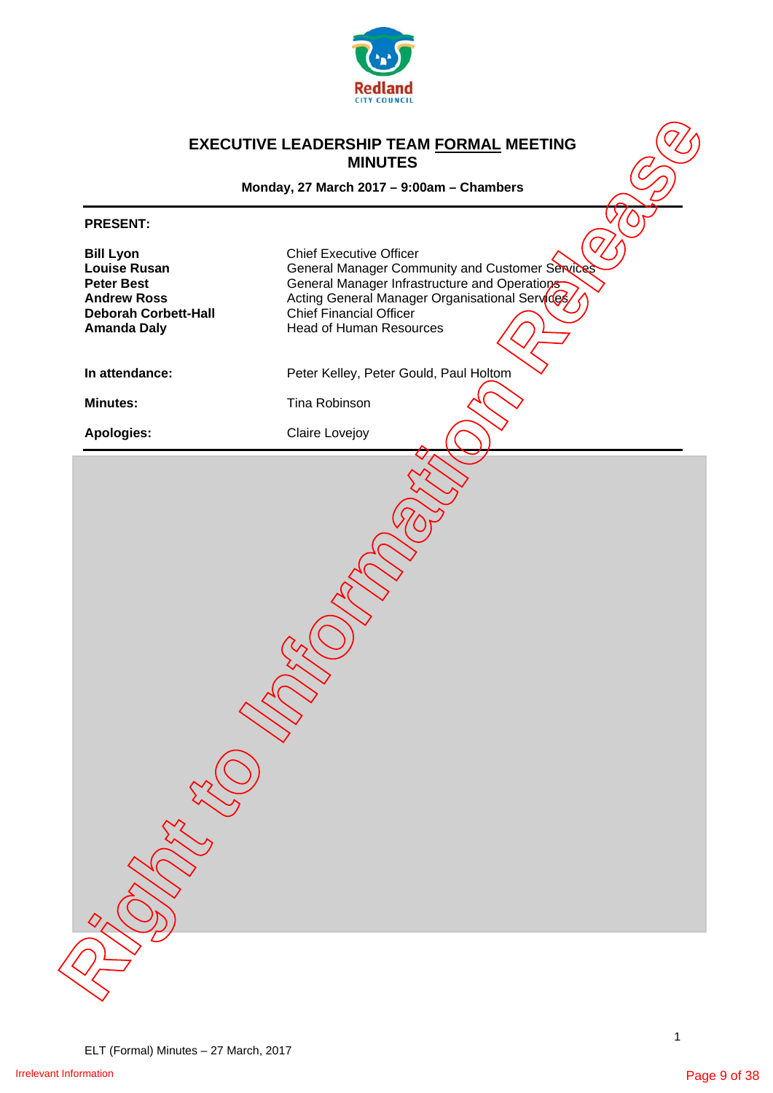

### **EXECUTIVE LEADERSHIP TEAM FORMAL MEETING MINUTES**

| <b>PRESENT:</b> |  |
|-----------------|--|
|                 |  |

| EXECUTIVE LEADERSHIP TEAM FORMAL MEETING<br><b>MINUTES</b>                                                                              |                                                                                                                                                                                                                                                          |
|-----------------------------------------------------------------------------------------------------------------------------------------|----------------------------------------------------------------------------------------------------------------------------------------------------------------------------------------------------------------------------------------------------------|
|                                                                                                                                         | Monday, 27 March 2017 - 9:00am - Chambers                                                                                                                                                                                                                |
| <b>PRESENT:</b>                                                                                                                         |                                                                                                                                                                                                                                                          |
| <b>Bill Lyon</b><br><b>Louise Rusan</b><br><b>Peter Best</b><br><b>Andrew Ross</b><br><b>Deborah Corbett-Hall</b><br><b>Amanda Daly</b> | <b>Chief Executive Officer</b><br>General Manager Community and Customer Services<br>General Manager Infrastructure and Operations<br>Acting General Manager Organisational Services<br><b>Chief Financial Officer</b><br><b>Head of Human Resources</b> |
| In attendance:                                                                                                                          | Peter Kelley, Peter Gould, Paul Holtom                                                                                                                                                                                                                   |
| <b>Minutes:</b>                                                                                                                         | Tina Robinson                                                                                                                                                                                                                                            |
| <b>Apologies:</b>                                                                                                                       | Claire Lovejoy                                                                                                                                                                                                                                           |
| $\sim$                                                                                                                                  |                                                                                                                                                                                                                                                          |
|                                                                                                                                         |                                                                                                                                                                                                                                                          |
|                                                                                                                                         |                                                                                                                                                                                                                                                          |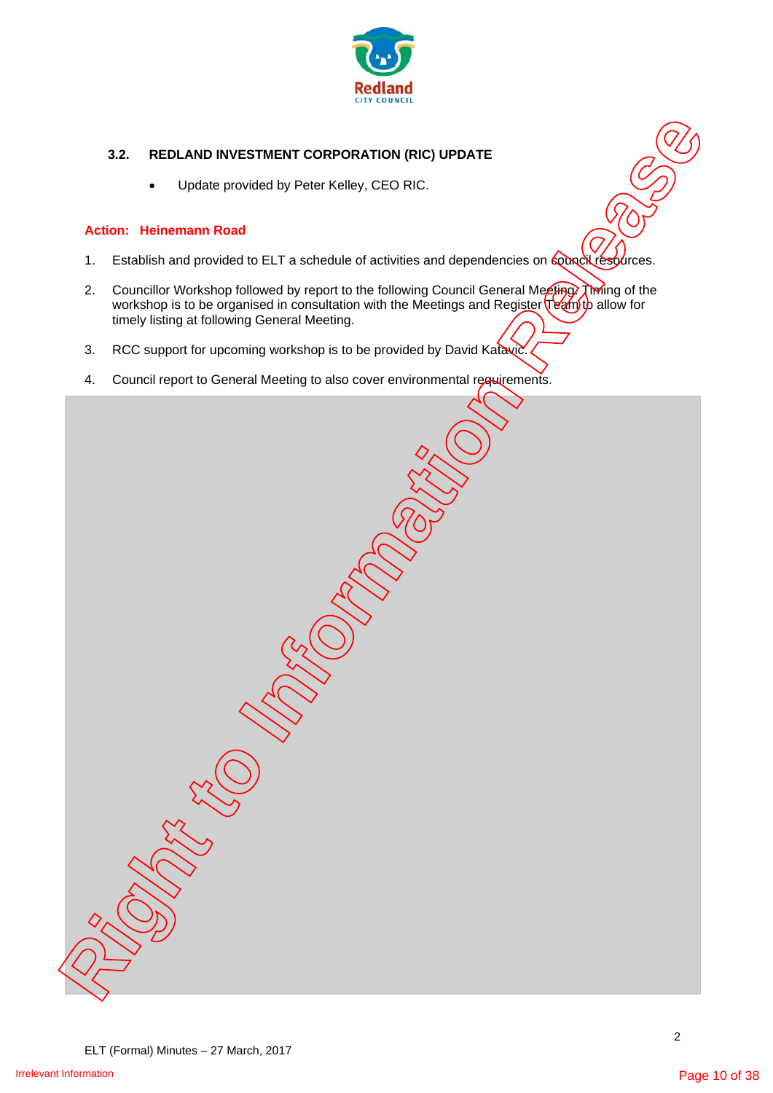

### **3.2. REDLAND INVESTMENT CORPORATION (RIC) UPDATE**

Update provided by Peter Kelley, CEO RIC.

### **Action: Heinemann Road**

- 1. Establish and provided to ELT a schedule of activities and dependencies on council resources.
- 2. Councillor Workshop followed by report to the following Council General Meeting. The ing of the workshop is to be organised in consultation with the Meetings and Regi<u>s</u>ter (Team) to allow for timely listing at following General Meeting. **REDLAND INVESTMENT CORPORATION (RICI) UPDATE**<br> **Contain provides** by Peter Kelley, CEO NC.<br>
Action: Heinemann Rend<br>
1. Exististic and provided to ELT is strabulated in activities and dependencies and **Rights Contains**<br>
Re
	- 3. RCC support for upcoming workshop is to be provided by David Katavic.
	- 4. Council report to General Meeting to also cover environmental requirements.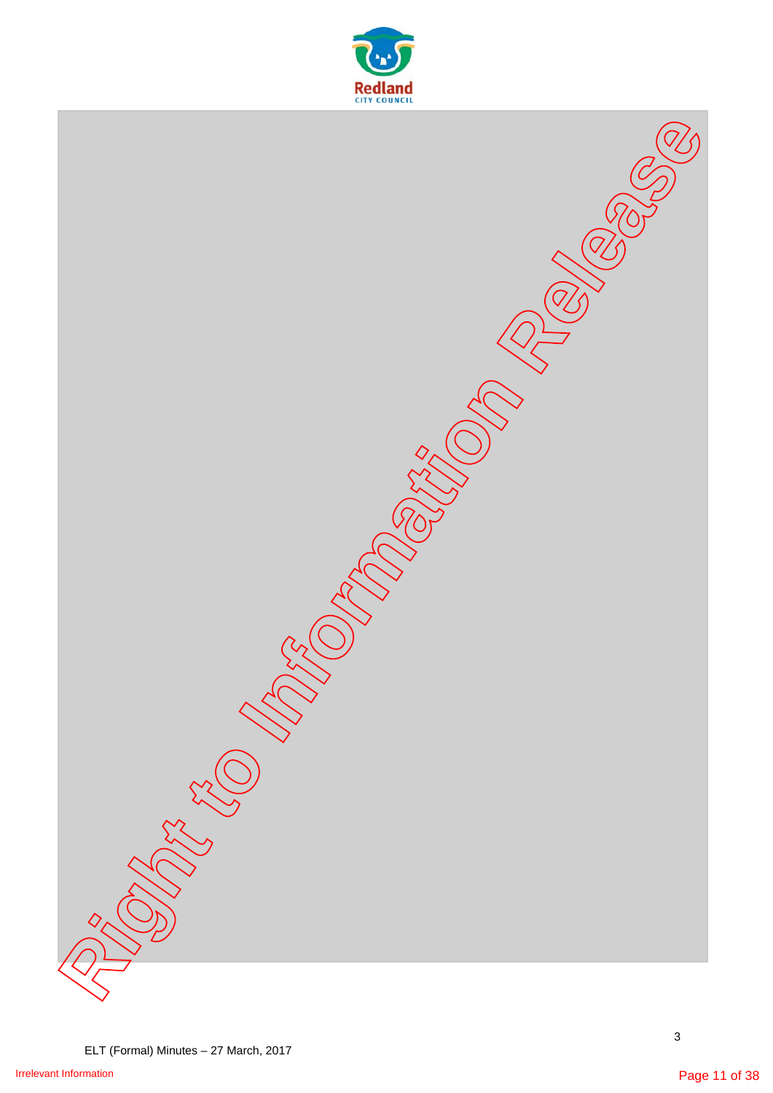

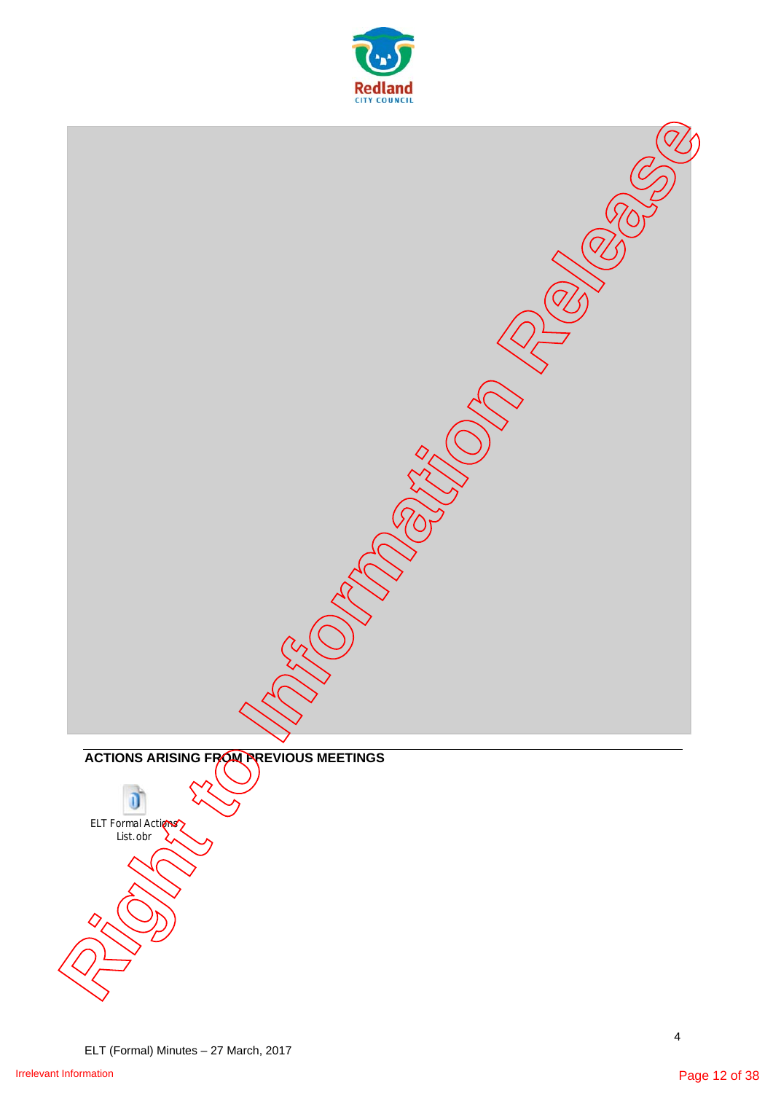

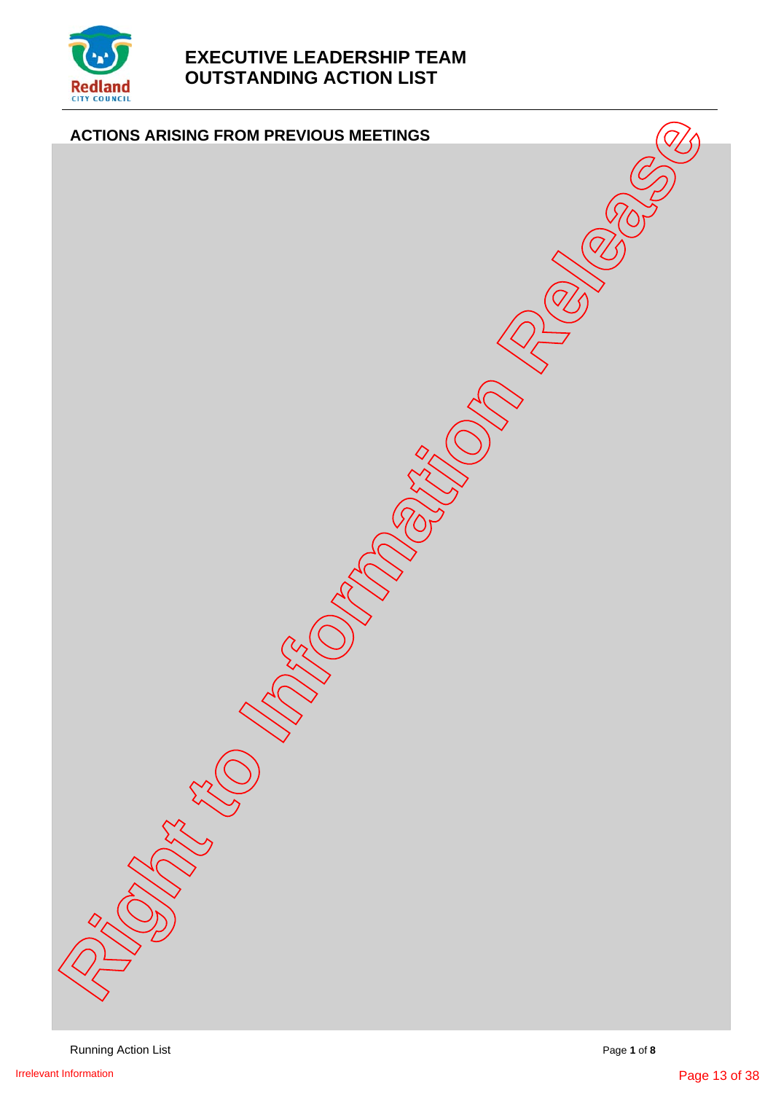

# **EXECUTIVE LEADERSHIP TEAM OUTSTANDING ACTION LIST**



Running Action List Page 1 of 8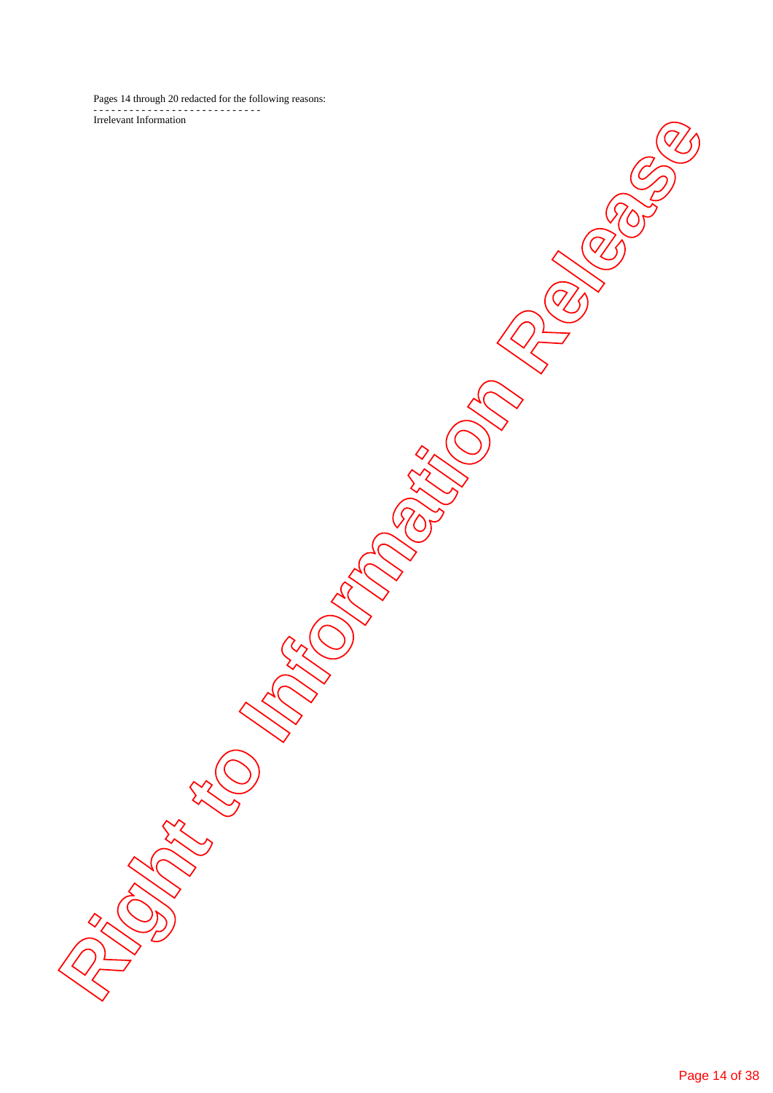Pages 14 through 20 redacted for the following reasons: - - - - - - - - - - - - - - - - - - - - - - - - - - - - Irrelevant Information **Right to Information Religion Relationships and the Contract of Contract of Relationships and Relationships and Relationships and Relationships and Relationships and Relationships and Relationships and Relationships and R**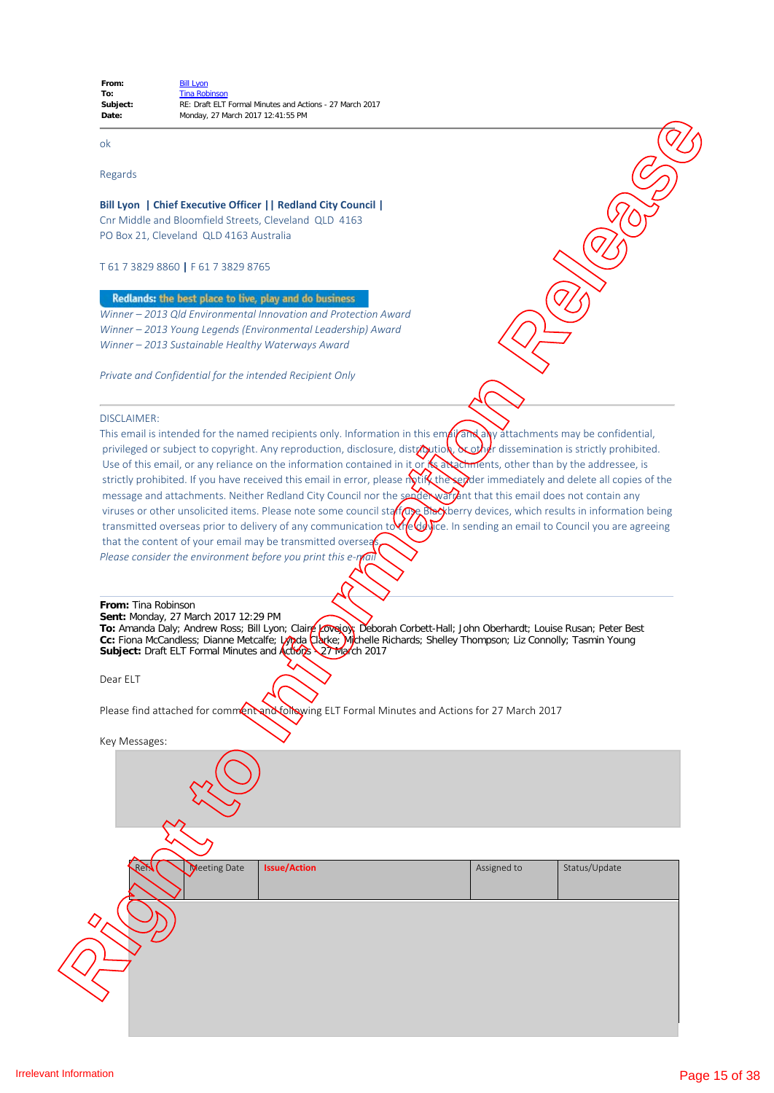| <b>Bill Lyon</b>                                         |
|----------------------------------------------------------|
| <b>Tina Robinson</b>                                     |
| RE: Draft ELT Formal Minutes and Actions - 27 March 2017 |
| Monday, 27 March 2017 12:41:55 PM                        |
|                                                          |

ok

Regards

**Bill Lyon | Chief Executive Officer || Redland City Council |** Cnr Middle and Bloomfield Streets, Cleveland QLD 4163 PO Box 21, Cleveland QLD 4163 Australia

T 61 7 3829 8860 **|** F 61 7 3829 8765

*Winner – 2013 Qld Environmental Innovation and Protection Award Winner – 2013 Young Legends (Environmental Leadership) Award Winner – 2013 Sustainable Healthy Waterways Award*

*Private and Confidential for the intended Recipient Only*

### DISCLAIMER:

This email is intended for the named recipients only. Information in this email and any attachments may be confidential, privileged or subject to copyright. Any reproduction, disclosure, distyrbution,  $\delta$  other dissemination is strictly prohibited. Use of this email, or any reliance on the information contained in it or is attachments, other than by the addressee, is strictly prohibited. If you have received this email in error, please notify the sender immediately and delete all copies of the message and attachments. Neither Redland City Council nor the sender warrant that this email does not contain any viruses or other unsolicited items. Please note some council staff@e Blackberry devices, which results in information being transmitted overseas prior to delivery of any communication to the  $\theta$ <sub>r</sub>  $\theta$ . In sending an email to Council you are agreeing that the content of your email may be transmitted oversea *Please consider the environment before you print this e-*

**From:** Tina Robinson

**Sent:** Monday, 27 March 2017 12:29 PM **To:** Amanda Daly; Andrew Ross; Bill Lyon; Claire Lovejoy; Deborah Corbett-Hall; John Oberhardt; Louise Rusan; Peter Best **Cc:** Fiona McCandless; Dianne Metcalfe; Lynda Clarke; Michelle Richards; Shelley Thompson; Liz Connolly; Tasmin Young **Subject:** Draft ELT Formal Minutes and Actions 27 March 2017

Dear ELT

Please find attached for comment and following ELT Formal Minutes and Actions for 27 March 2017

Key Messages:

**Meeting Date Issue/Action Internal Assigned to** Status/Update **Right to International Chemical Control is a matrix of the International Chemical Chemical Chemical Chemical Chemical Chemical Chemical Chemical Chemical Chemical Chemical Chemical Chemical Chemical Chemical Chemical Che** 

Irrelevant Information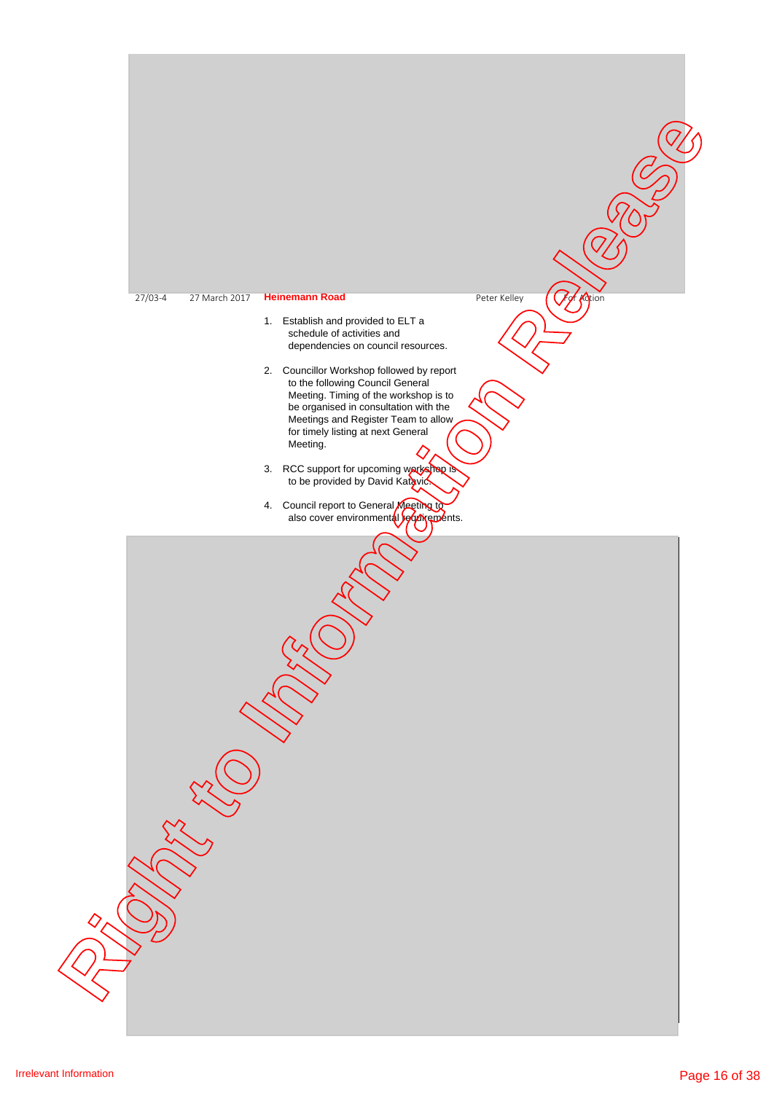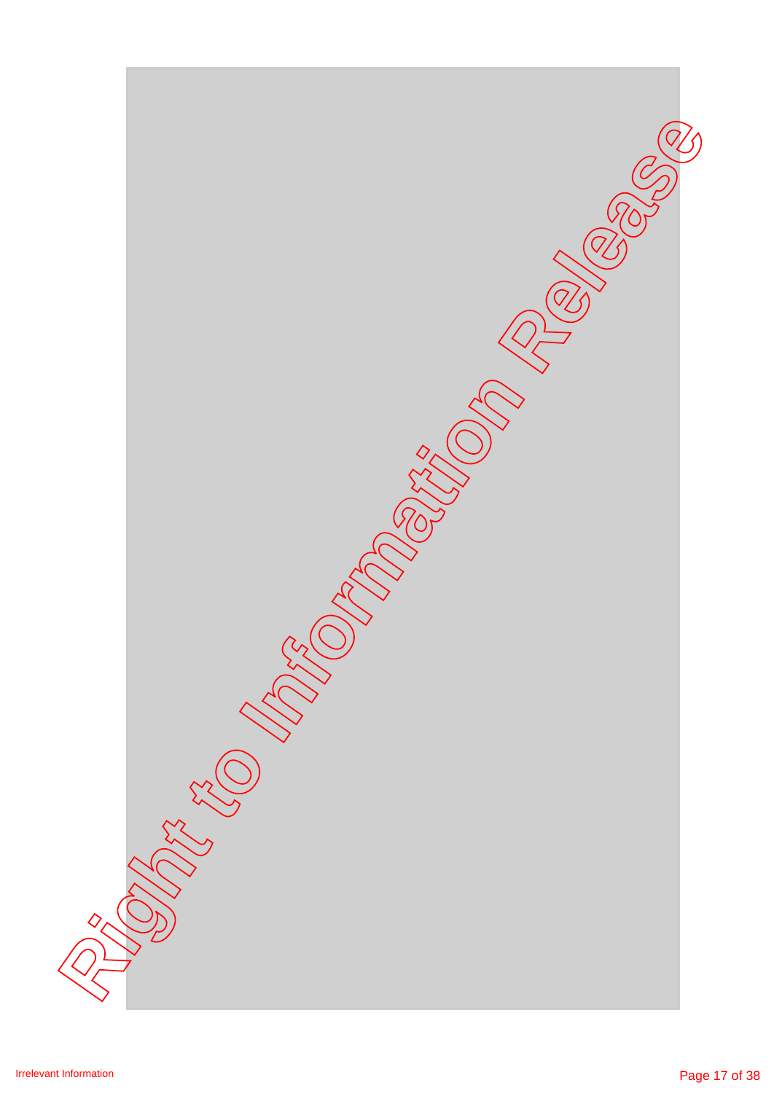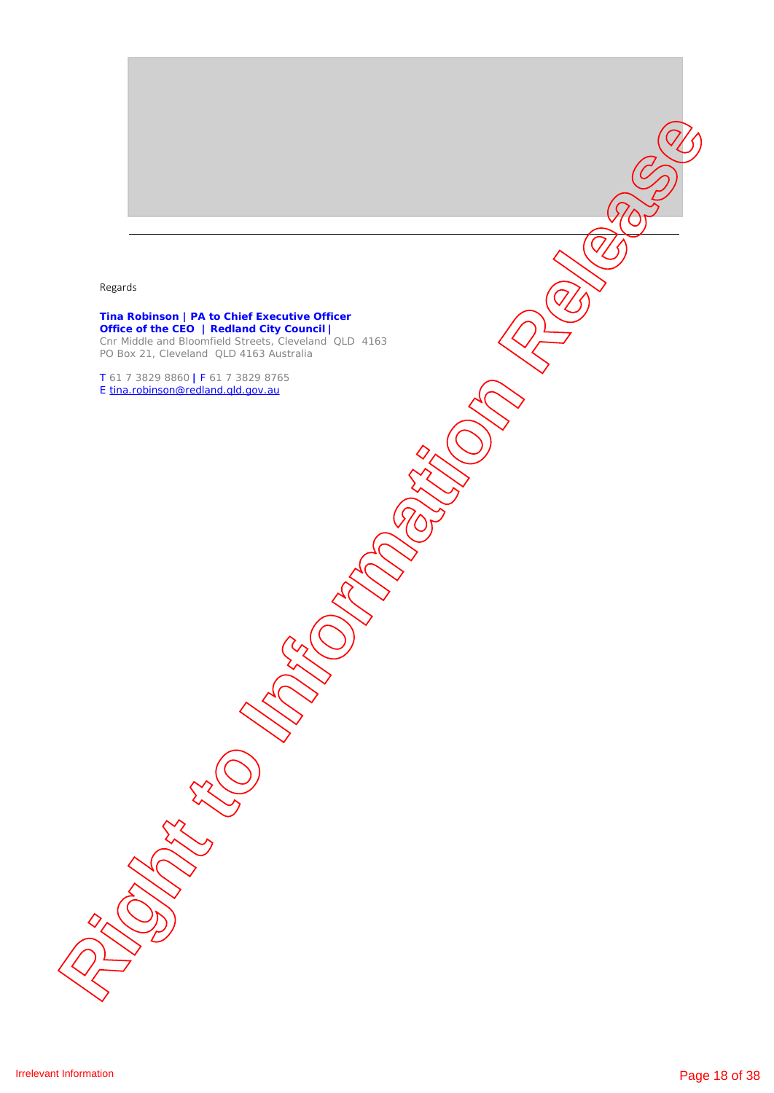### Regards

**Tina Robinson | PA to Chief Executive Officer Office of the CEO | Redland City Council |** Cnr Middle and Bloomfield Streets, Cleveland QLD 4163 PO Box 21, Cleveland QLD 4163 Australia **RIGHTS** 

T 61 7 3829 8860 **|** F 61 7 3829 8765 E tina.robinson@redland.qld.gov.au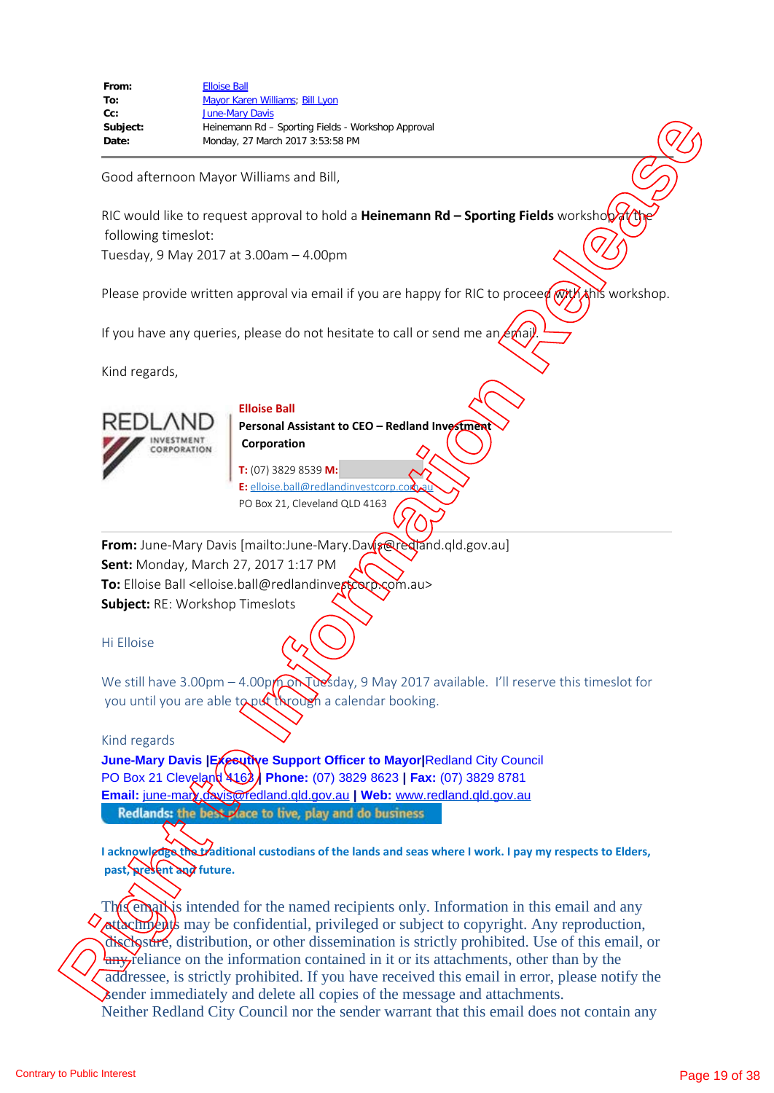Good afternoon Mayor Williams and Bill,

RIC would like to request approval to hold a **Heinemann Rd – Sporting Fields** workshop at the following timeslot:

Tuesday, 9 May 2017 at 3.00am – 4.00pm

Please provide written approval via email if you are happy for RIC to procee  $\alpha$  with this workshop.

If you have any queries, please do not hesitate to call or send me an email

Kind regards,



**Elloise Ball Personal Assistant to CEO - Redland Investment Corporation**

**T:** (07) 3829 8539 **M:**

**E:** elloise.ball@redlandinvestcorp

PO Box 21, Cleveland QLD 4163

**From:** June-Mary Davis [mailto:June-Mary.Davis@redland.qld.gov.au] **Sent:** Monday, March 27, 2017 1:17 PM **To:** Elloise Ball <elloise.ball@redlandinvestcorp.com.au> **Subject:** RE: Workshop Timeslots

Hi Elloise

We still have 3.00pm – 4.00pm on Tuesday, 9 May 2017 available. I'll reserve this timeslot for you until you are able  $t$  put through a calendar booking.

Kind regards

**June-Mary Davis | Executive Support Officer to Mayor|Redland City Council** PO Box 21 Cleveland 4163 **| Phone:** (07) 3829 8623 **| Fax:** (07) 3829 8781 **Email:** june-mary.davis@redland.qld.gov.au **| Web:** www.redland.qld.gov.au

**I acknowledge the traditional custodians of the lands and seas where I work. I pay my respects to Elders, past, present and future.**

This email is intended for the named recipients only. Information in this email and any  $\sqrt{\text{atachnd}}$  may be confidential, privileged or subject to copyright. Any reproduction, disclosure, distribution, or other dissemination is strictly prohibited. Use of this email, or Lany reliance on the information contained in it or its attachments, other than by the addressee, is strictly prohibited. If you have received this email in error, please notify the Sender immediately and delete all copies of the message and attachments. Example to the state of the transmission of the Control Control Control Control Control Control Control Control Control Control Control Control Control Control Control Control Control Control Control Control Control Contro

Neither Redland City Council nor the sender warrant that this email does not contain any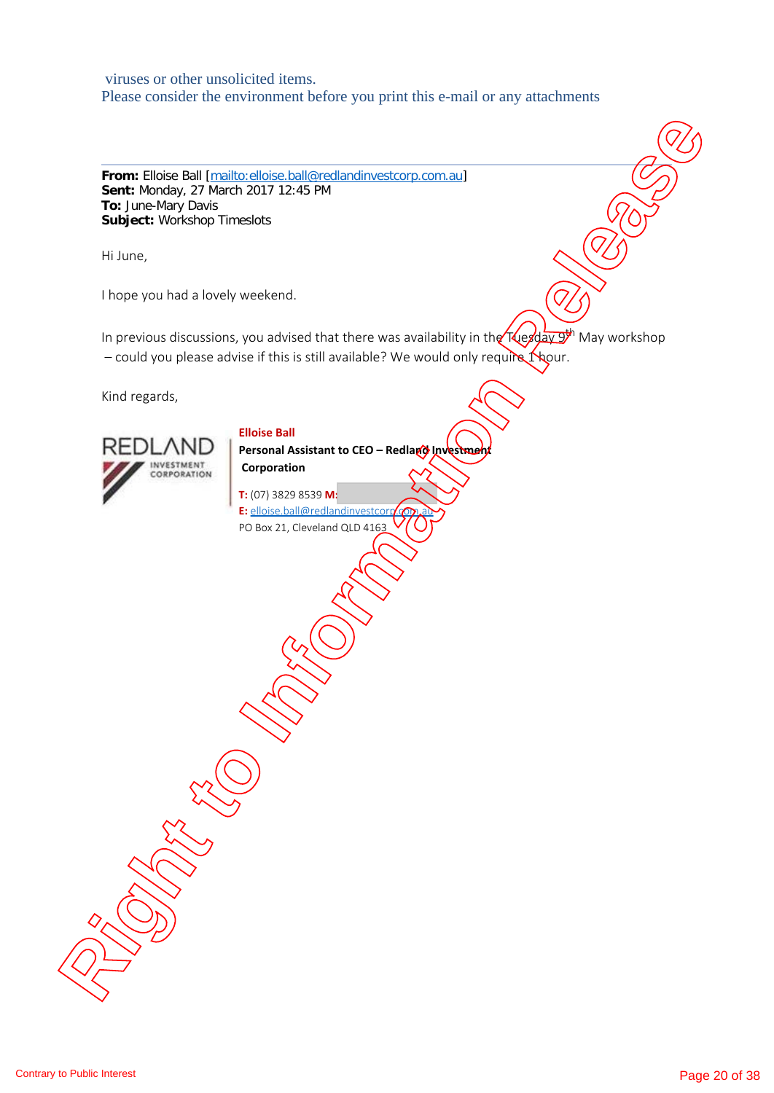### viruses or other unsolicited items. Please consider the environment before you print this e-mail or any attachments

**From:** Elloise Ball [mailto:elloise.ball@redlandinvestcorp.com.au] **Sent:** Monday, 27 March 2017 12:45 PM **To:** June-Mary Davis **Subject:** Workshop Timeslots

Hi June,

I hope you had a lovely weekend.

In previous discussions, you advised that there was availability in the  $\kappa_{\rm B}$   $\frac{1}{2}$  May workshop – could you please advise if this is still available? We would only require  $\Lambda$  hour.

Kind regards,

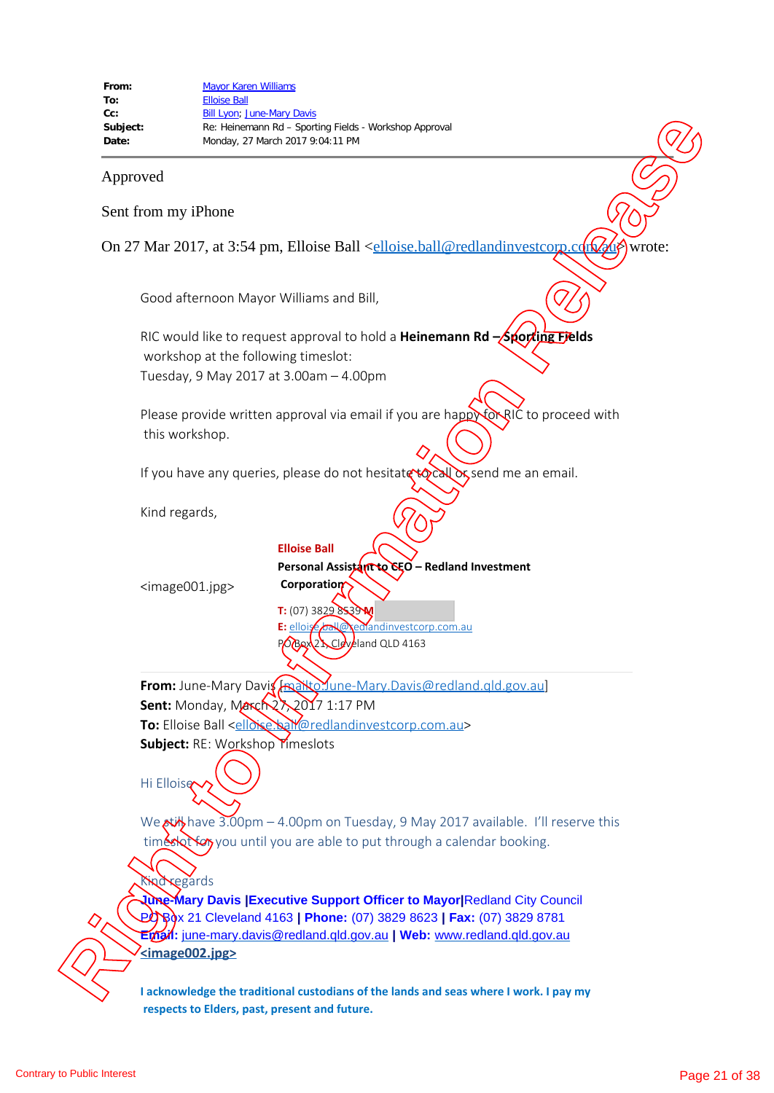Approved

### Sent from my iPhone

On 27 Mar 2017, at 3:54 pm, Elloise Ball  $\leq$ elloise.ball@redlandinvestcorp.com.

Good afternoon Mayor Williams and Bill,

RIC would like to request approval to hold a **Heinemann Rd - Sporting Fields** workshop at the following timeslot: Tuesday, 9 May 2017 at 3.00am – 4.00pm

Please provide written approval via email if you are happy for RIC to proceed with this workshop.

If you have any queries, please do not hesitate to call  $\alpha$  send me an email.

Kind regards,

<image001.jpg>



**From:** June-Mary Davis From: 0 and 5 and 5 and 5 and 5 and 5 and 5 and 5 and 5 and 5 and 5 and 5 and 5 and 5 and 5 and 5 and 5 and 5 and 5 and 5 and 5 and 5 and 5 and 5 and 5 and 5 and 5 and 5 and 5 and 5 and 5 and 5 and **Sent:** Monday, March 27, 2017 1:17 PM **To:** Elloise Ball <elloise.ball@redlandinvestcorp.com.au> **Subject:** RE: Workshop Timeslots

Hi Elloise

We still have 3.00pm – 4.00pm on Tuesday, 9 May 2017 available. I'll reserve this times of You until you are able to put through a calendar booking.

# **Kind regards**

**June-Mary Davis |Executive Support Officer to Mayor|**Redland City Council PO Box 21 Cleveland 4163 **| Phone:** (07) 3829 8623 **| Fax:** (07) 3829 8781 **Email:** june-mary.davis@redland.qld.gov.au **| Web:** www.redland.qld.gov.au **<image002.jpg>**

**I acknowledge the traditional custodians of the lands and seas where I work. I pay my respects to Elders, past, present and future.**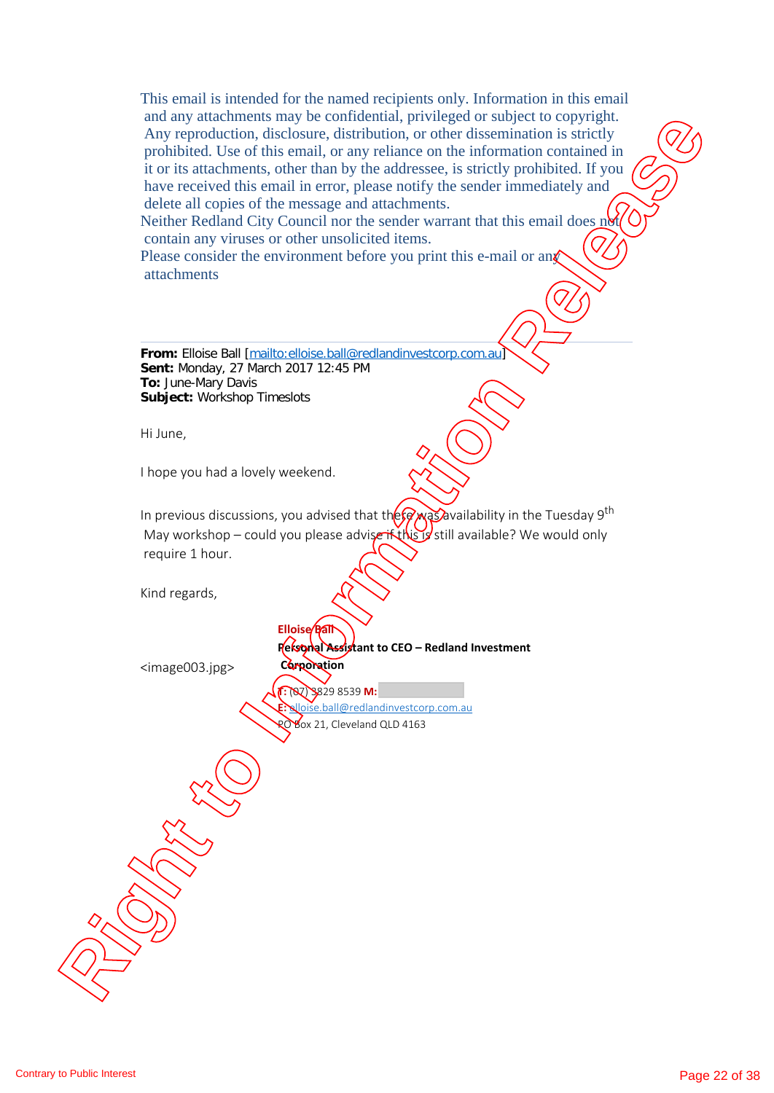This email is intended for the named recipients only. Information in this email and any attachments may be confidential, privileged or subject to copyright. Any reproduction, disclosure, distribution, or other dissemination is strictly prohibited. Use of this email, or any reliance on the information contained in it or its attachments, other than by the addressee, is strictly prohibited. If you have received this email in error, please notify the sender immediately and delete all copies of the message and attachments. Neither Redland City Council nor the sender warrant that this email does not contain any viruses or other unsolicited items. Please consider the environment before you print this e-mail or an attachments **From:** Elloise Ball [mailto:elloise.ball@redlandinvestcorp.com.au] **Sent:** Monday, 27 March 2017 12:45 PM **To:** June-Mary Davis **Subject:** Workshop Timeslots Hi June, I hope you had a lovely weekend. In previous discussions, you advised that the  $G$   $\rightarrow$   $G$  as availability in the Tuesday 9<sup>th</sup> May workshop – could you please advise if the vailable? We would only require 1 hour. Kind regards, <image003.jpg> **Elloise Ball Personal Assistant to CEO – Redland Investment Corporation T:** (07) 3829 8539 **M: E:** elloise.ball@redlandinvestcorp.com.au RO Box 21, Cleveland QLD 4163 An any addition that the contention is the contention of the properties of a support of the contention of the contention of the state of the contention of the state of the contention of the state of the state of the state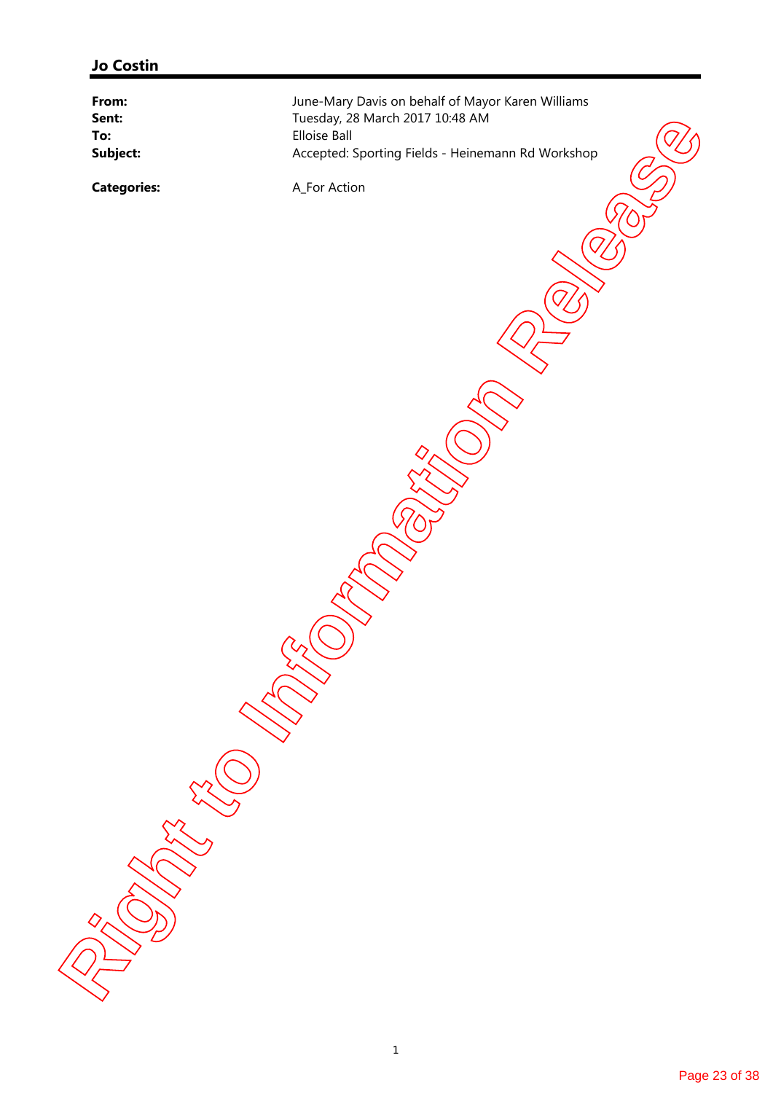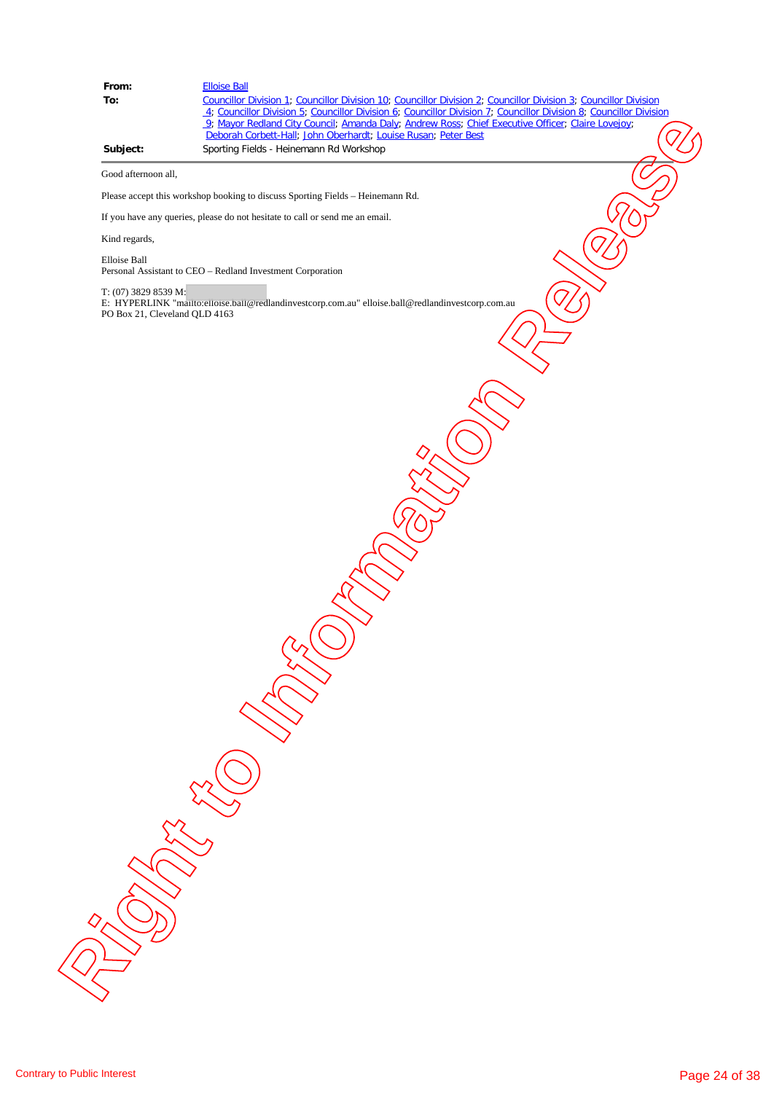# From: Elloise Ball **To:** Councillor Division 1; Councillor Division 10; Councillor Division 2; Councillor Division 3; Councillor Division 4; Councillor Division 5; Councillor Division 6; Councillor Division 7; Councillor Division 8; Councillor Division 9; Mayor Redland City Council; Amanda Daly; Andrew Ross; Chief Executive Officer; Claire Lovejoy; Deborah Corbett-Hall; John Oberhardt; Louise Rusan; Peter Best **Subject:** Sporting Fields - Heinemann Rd Workshop Good afternoon all, Please accept this workshop booking to discuss Sporting Fields – Heinemann Rd. If you have any queries, please do not hesitate to call or send me an email. Kind regards, Elloise Ball Personal Assistant to CEO – Redland Investment Corporation T: (07) 3829 8539 M: E: HYPERLINK "mailto:elloise.ball@redlandinvestcorp.com.au" elloise.ball@redlandinvestcorp.com.au PO Box 21, Cleveland QLD 4163 **RIGHT TO RELATE AND RELATIONSHIPS OF RELATIONSHIPS OF RELATIONSHIPS OF RELATIONSHIPS OF RELATIONSHIPS OF RELATIONSHIPS OF RELATIONSHIPS OF RELATIONSHIPS OF RELATIONSHIPS OF RELATIONSHIPS OF RELATIONSHIPS OF RELATIONSHIPS**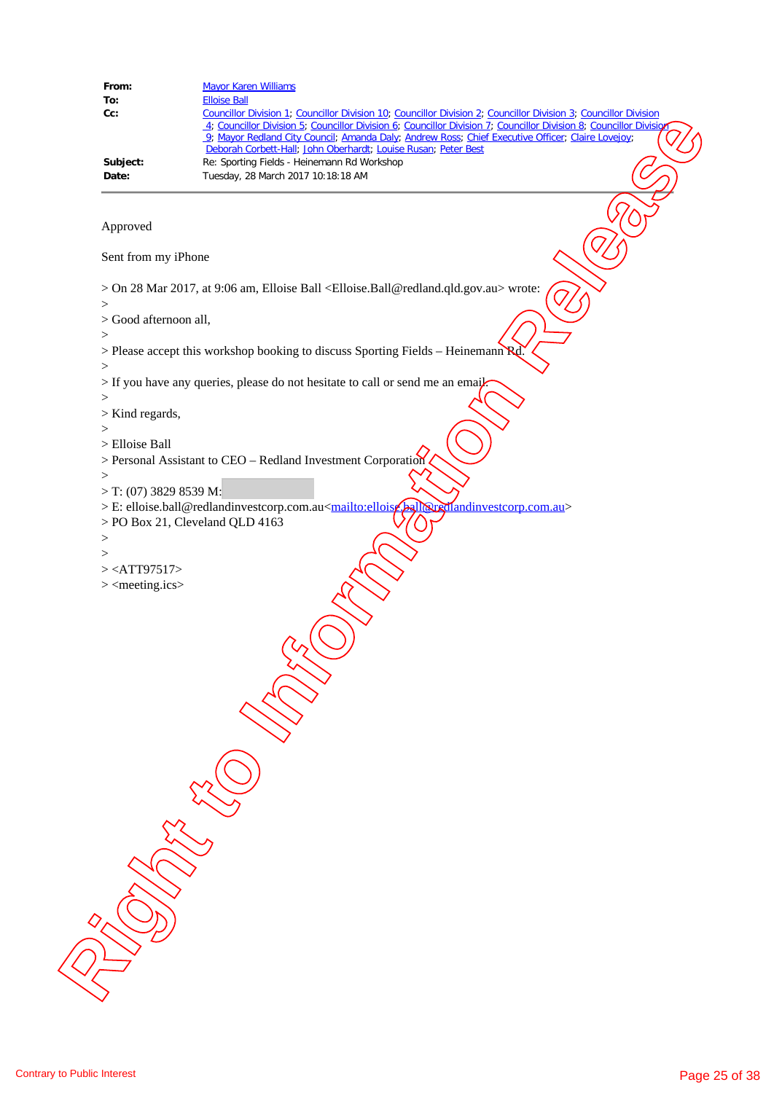| To:                             | <b>Elloise Ball</b>                                                                                                                                                 |
|---------------------------------|---------------------------------------------------------------------------------------------------------------------------------------------------------------------|
| Cc:                             | Councillor Division 1; Councillor Division 10; Councillor Division 2; Councillor Division 3; Councillor Division                                                    |
|                                 | 4; Councillor Division 5; Councillor Division 6; Councillor Division 7; Councillor Division 8; Councillor Division                                                  |
|                                 | 9; Mayor Redland City Council; Amanda Daly; Andrew Ross; Chief Executive Officer; Claire Lovejoy;<br>Deborah Corbett-Hall; John Oberhardt; Louise Rusan; Peter Best |
| Subject:                        | Re: Sporting Fields - Heinemann Rd Workshop                                                                                                                         |
| Date:                           | Tuesday, 28 March 2017 10:18:18 AM                                                                                                                                  |
|                                 |                                                                                                                                                                     |
|                                 |                                                                                                                                                                     |
| Approved                        |                                                                                                                                                                     |
|                                 |                                                                                                                                                                     |
| Sent from my iPhone             |                                                                                                                                                                     |
|                                 |                                                                                                                                                                     |
|                                 | > On 28 Mar 2017, at 9:06 am, Elloise Ball <elloise.ball@redland.qld.gov.au> wrote:</elloise.ball@redland.qld.gov.au>                                               |
| >                               |                                                                                                                                                                     |
| > Good afternoon all,           |                                                                                                                                                                     |
| >                               |                                                                                                                                                                     |
|                                 | > Please accept this workshop booking to discuss Sporting Fields - Heinemann Rd.                                                                                    |
| >                               |                                                                                                                                                                     |
|                                 | > If you have any queries, please do not hesitate to call or send me an email-                                                                                      |
| >                               |                                                                                                                                                                     |
| > Kind regards,                 |                                                                                                                                                                     |
| ><br>> Elloise Ball             |                                                                                                                                                                     |
|                                 | > Personal Assistant to CEO - Redland Investment Corporation                                                                                                        |
| >                               |                                                                                                                                                                     |
|                                 |                                                                                                                                                                     |
|                                 |                                                                                                                                                                     |
| $>$ T: (07) 3829 8539 M:        |                                                                                                                                                                     |
|                                 | > E: elloise.ball@redlandinvestcorp.com.au <mailto:elloise.ball@redlandinvestcorp.com.au></mailto:elloise.ball@redlandinvestcorp.com.au>                            |
|                                 | > PO Box 21, Cleveland QLD 4163                                                                                                                                     |
| $\rm{>}$                        |                                                                                                                                                                     |
| >                               |                                                                                                                                                                     |
| $><$ ATT97517 $>$               |                                                                                                                                                                     |
| $>$ <meeting.ics></meeting.ics> |                                                                                                                                                                     |
|                                 |                                                                                                                                                                     |
|                                 |                                                                                                                                                                     |
|                                 |                                                                                                                                                                     |
|                                 |                                                                                                                                                                     |
|                                 |                                                                                                                                                                     |
|                                 |                                                                                                                                                                     |
|                                 |                                                                                                                                                                     |
|                                 |                                                                                                                                                                     |
|                                 |                                                                                                                                                                     |
|                                 |                                                                                                                                                                     |
|                                 |                                                                                                                                                                     |
|                                 |                                                                                                                                                                     |
|                                 |                                                                                                                                                                     |
|                                 |                                                                                                                                                                     |
|                                 |                                                                                                                                                                     |
|                                 |                                                                                                                                                                     |
|                                 |                                                                                                                                                                     |
|                                 |                                                                                                                                                                     |
|                                 |                                                                                                                                                                     |
|                                 |                                                                                                                                                                     |
|                                 |                                                                                                                                                                     |
|                                 | 511222                                                                                                                                                              |
|                                 |                                                                                                                                                                     |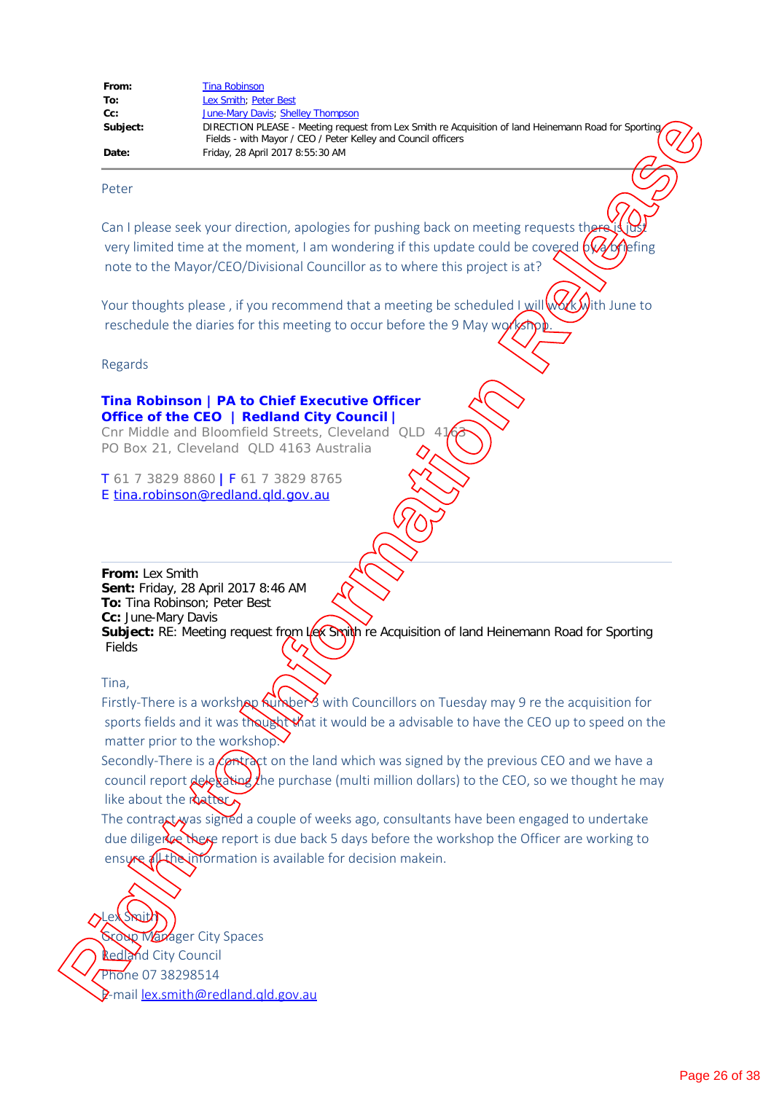| From:    | <b>Tina Robinson</b>                                                                                                                                                  |
|----------|-----------------------------------------------------------------------------------------------------------------------------------------------------------------------|
| To:      | Lex Smith; Peter Best                                                                                                                                                 |
| Cc:      | June-Mary Davis; Shelley Thompson                                                                                                                                     |
| Subject: | DIRECTION PLEASE - Meeting request from Lex Smith re Acquisition of land Heinemann Road for Sporting<br>Fields - with Mayor / CEO / Peter Kelley and Council officers |
| Date:    | Friday, 28 April 2017 8:55:30 AM                                                                                                                                      |

Peter

Can I please seek your direction, apologies for pushing back on meeting requests there very limited time at the moment. I am wondering if this update could be covered  $\delta Q$ note to the Mayor/CEO/Divisional Councillor as to where this project is at?

Your thoughts please, if you recommend that a meeting be scheduled I will work with June to reschedule the diaries for this meeting to occur before the 9 May works

Regards

### **Tina Robinson | PA to Chief Executive Officer Office of the CEO | Redland City Council |**

Cnr Middle and Bloomfield Streets, Cleveland QLD PO Box 21, Cleveland QLD 4163 Australia

T 61 7 3829 8860 **|** F 61 7 3829 8765 E tina.robinson@redland.qld.gov.au

**From:** Lex Smith **Sent:** Friday, 28 April 2017 8:46 AM **To:** Tina Robinson; Peter Best **Cc:** June-Mary Davis **Subject:** RE: Meeting request from Lex Smith re Acquisition of land Heinemann Road for Sporting Fields **ight to International Control and Control and Control and Control and Control and Control and Control and Control and Control and Control and Control and Control and Control and Control and Control and Control and Control** 

### Tina,

Firstly-There is a workstyop with Councillors on Tuesday may 9 re the acquisition for sports fields and it was thought that it would be a advisable to have the CEO up to speed on the matter prior to the workshop.

Secondly-There is a contract on the land which was signed by the previous CEO and we have a council report  $\deg \phi$  the purchase (multi million dollars) to the CEO, so we thought he may like about the matter.

The contract was signed a couple of weeks ago, consultants have been engaged to undertake due diligence there report is due back 5 days before the workshop the Officer are working to ensure *a*l the information is available for decision makein.

Lex Smith **Mapager City Spaces** Redland City Council Phone 07 38298514<br>**P**-mail <u>lex.smith@redland.qld.gov.au</u>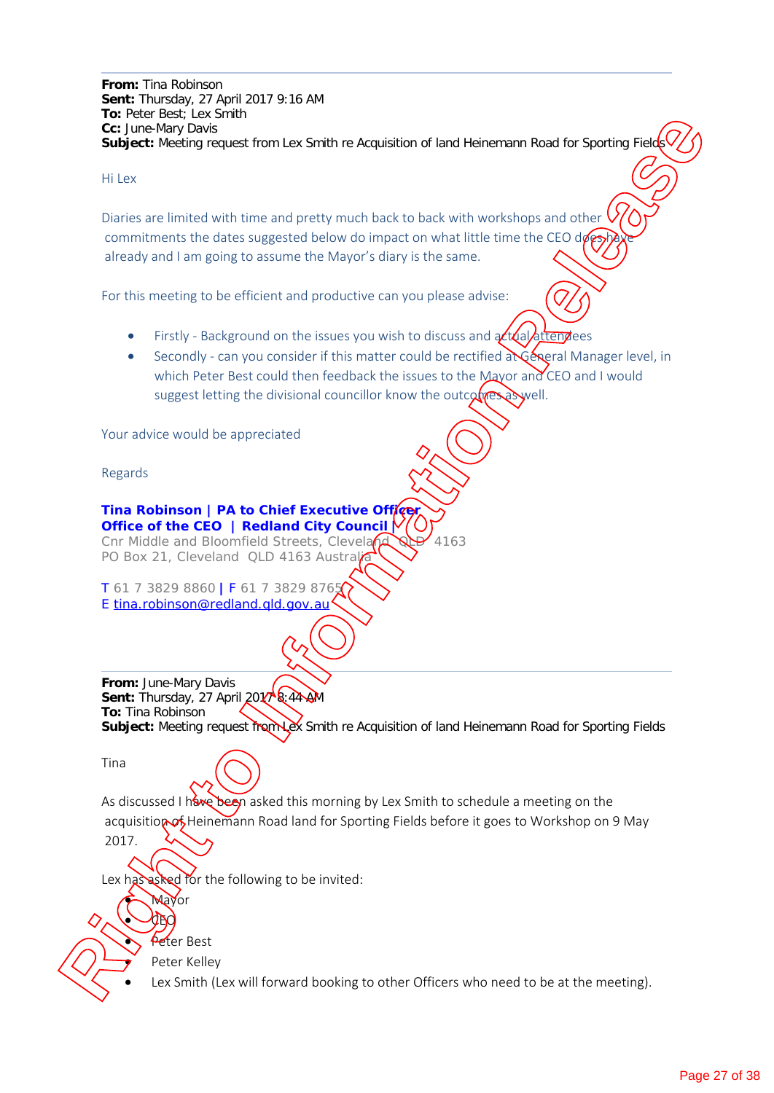**From:** Tina Robinson **Sent:** Thursday, 27 April 2017 9:16 AM **To:** Peter Best; Lex Smith **Cc:** June-Mary Davis **Subject:** Meeting request from Lex Smith re Acquisition of land Heinemann Road for Sporting Fields

### Hi Lex

Diaries are limited with time and pretty much back to back with workshops and other commitments the dates suggested below do impact on what little time the CEO do already and I am going to assume the Mayor's diary is the same.

For this meeting to be efficient and productive can you please advise:

- Firstly Background on the issues you wish to discuss and  $\frac{d}{dx}$  attendees
- Secondly can you consider if this matter could be rectified at  $G$ eneral Manager level, in which Peter Best could then feedback the issues to the Mayor and CEO and I would suggest letting the divisional councillor know the outcomes as well.

Your advice would be appreciated

Regards

### **Tina Robinson | PA to Chief Executive Offace Office of the CEO | Redland City Council |** Cnr Middle and Bloomfield Streets, Cleveland QLD 4163

PO Box 21, Cleveland QLD 4163 Austral

T 61 7 3829 8860 **|** F 61 7 3829 8765 E tina.robinson@redland.qld.gov.au

**From:** June-Mary Davis **Sent:** Thursday, 27 April 2017 8:44 AM **To:** Tina Robinson **Subject:** Meeting request from Lex Smith re Acquisition of land Heinemann Road for Sporting Fields **to:** June-Mary Davis<br> **ight to Inter-Mary Davis Entrarction** Let Smith the Acquisition of latel Heinemann Read for Sporting Fields<br> **Studient:** Meeting request from Lex Smith the Acquisition of latel with workshees and on

Tina

As discussed I have been asked this morning by Lex Smith to schedule a meeting on the acquisition of Heinemann Road land for Sporting Fields before it goes to Workshop on 9 May 2017.

Lex has asked for the following to be invited:

Peter Best

**Mayor** dèn

Peter Kelley<br>Lex Smith (Lex will forward booking to other Officers who need to be at the meeting).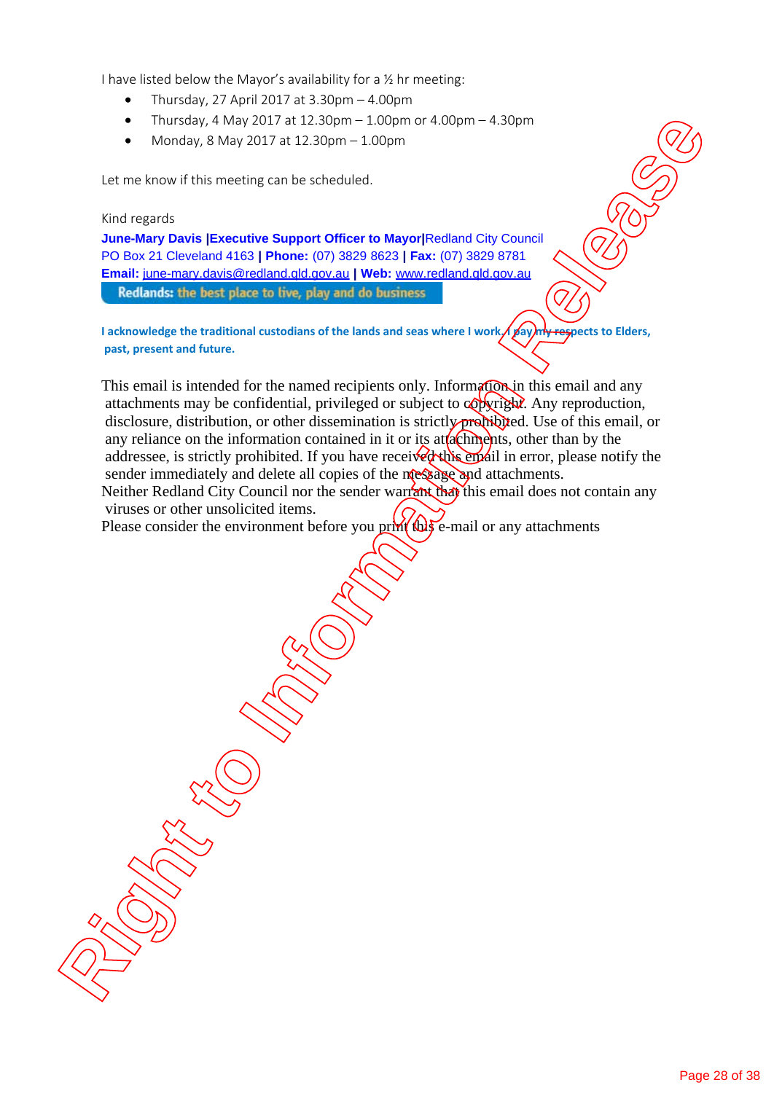I have listed below the Mayor's availability for a ½ hr meeting:

- $\bullet$  Thursday, 27 April 2017 at 3.30pm  $-4.00$ pm
- Thursday, 4 May 2017 at  $12.30$ pm  $1.00$ pm or  $4.00$ pm  $4.30$ pm
- Monday, 8 May 2017 at  $12.30 \text{pm} 1.00 \text{pm}$

Let me know if this meeting can be scheduled.

### Kind regards

**June-Mary Davis |Executive Support Officer to Mayor|**Redland City Council PO Box 21 Cleveland 4163 **| Phone:** (07) 3829 8623 **| Fax:** (07) 3829 8781 **Email:** june-mary.davis@redland.qld.gov.au **| Web:** www.redland.qld.gov.au

l acknowledge the traditional custodians of the lands and seas where I work/loay ray respects to Elders, **past, present and future.** 

This email is intended for the named recipients only. Information in this email and any attachments may be confidential, privileged or subject to  $\mathcal{Q}$   $\mathcal{Y}$  and  $\mathcal{Y}$ . Any reproduction, disclosure, distribution, or other dissemination is strictly prohibited. Use of this email, or any reliance on the information contained in it or its attachments, other than by the addressee, is strictly prohibited. If you have received this email in error, please notify the sender immediately and delete all copies of the message and attachments. **Right to Present with 2022** (The Third 2000 m 2.000 m of 4.000 m 4.300 m<br>
Moreover, 8 May 2012 at 12.30pm 2.000m of 4.30pm<br>
Het me levels (This meeting can be advertised).<br>
This density of the Information Right of the Inf

Neither Redland City Council nor the sender warrant that this email does not contain any viruses or other unsolicited items.

Please consider the environment before you print this e-mail or any attachments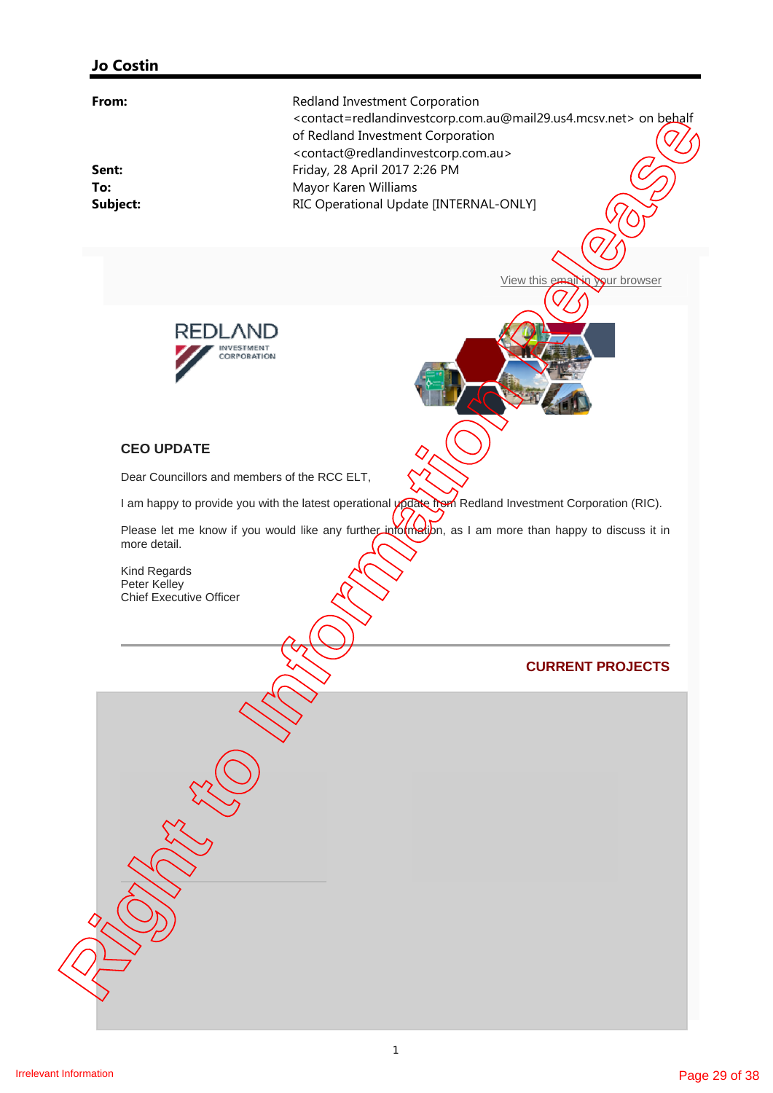# **Jo Costin**

| From:<br>Sent:<br>To:<br>Subject:                              | Redland Investment Corporation<br><contact=redlandinvestcorp.com.au@mail29.us4.mcsv.net> on behalf<br/>of Redland Investment Corporation<br/><contact@redlandinvestcorp.com.au><br/>Friday, 28 April 2017 2:26 PM<br/>Mayor Karen Williams<br/>RIC Operational Update [INTERNAL-ONLY]</contact@redlandinvestcorp.com.au></contact=redlandinvestcorp.com.au@mail29.us4.mcsv.net> |
|----------------------------------------------------------------|---------------------------------------------------------------------------------------------------------------------------------------------------------------------------------------------------------------------------------------------------------------------------------------------------------------------------------------------------------------------------------|
|                                                                | View this email in your browser                                                                                                                                                                                                                                                                                                                                                 |
| REDLAND<br><b>NVESTMENT</b><br>CORPORATION                     |                                                                                                                                                                                                                                                                                                                                                                                 |
| <b>CEO UPDATE</b>                                              |                                                                                                                                                                                                                                                                                                                                                                                 |
| Dear Councillors and members of the RCC ELT,                   |                                                                                                                                                                                                                                                                                                                                                                                 |
|                                                                | I am happy to provide you with the latest operational update from Redland Investment Corporation (RIC).                                                                                                                                                                                                                                                                         |
| more detail.                                                   | Please let me know if you would like any further information, as I am more than happy to discuss it in                                                                                                                                                                                                                                                                          |
| Kind Regards<br>Peter Kelley<br><b>Chief Executive Officer</b> |                                                                                                                                                                                                                                                                                                                                                                                 |
|                                                                | <b>CURRENT PROJECTS</b>                                                                                                                                                                                                                                                                                                                                                         |
|                                                                |                                                                                                                                                                                                                                                                                                                                                                                 |
|                                                                |                                                                                                                                                                                                                                                                                                                                                                                 |
|                                                                |                                                                                                                                                                                                                                                                                                                                                                                 |
|                                                                |                                                                                                                                                                                                                                                                                                                                                                                 |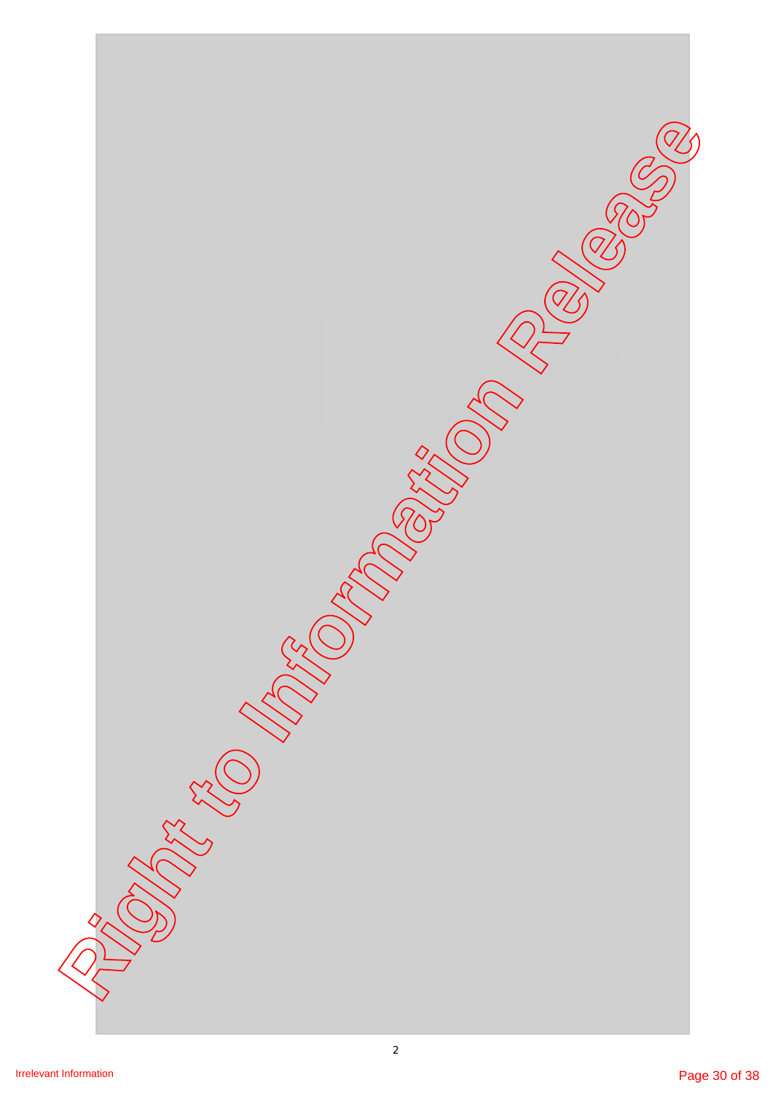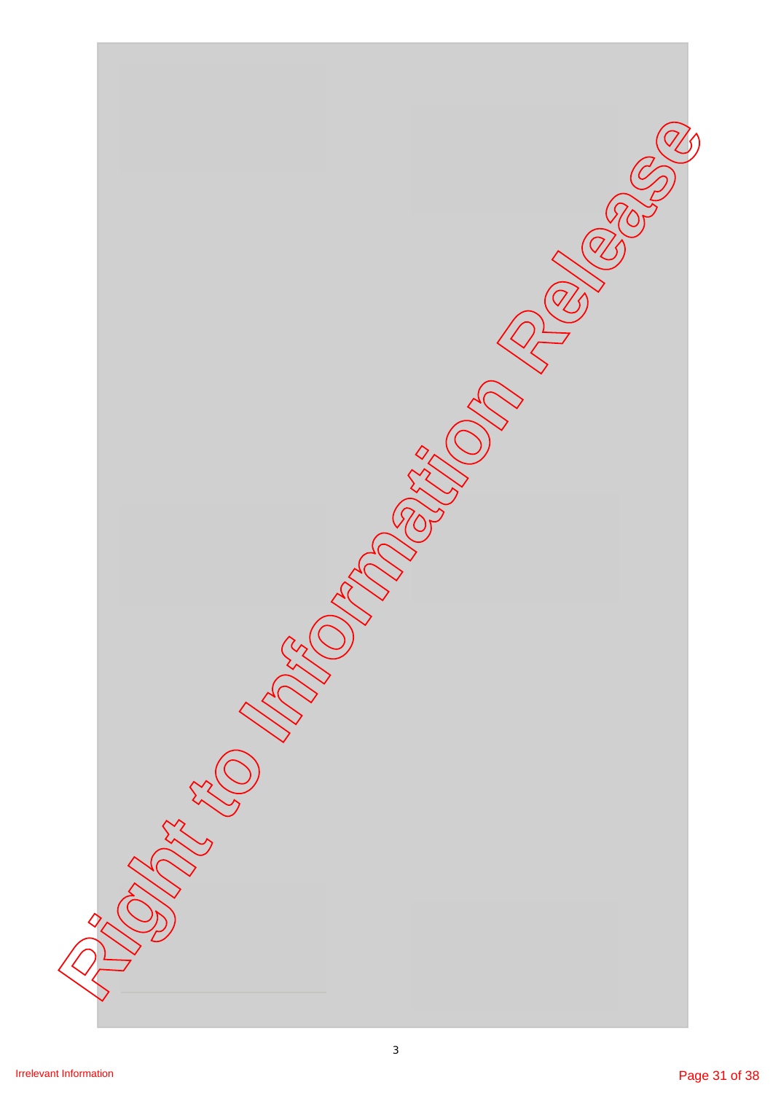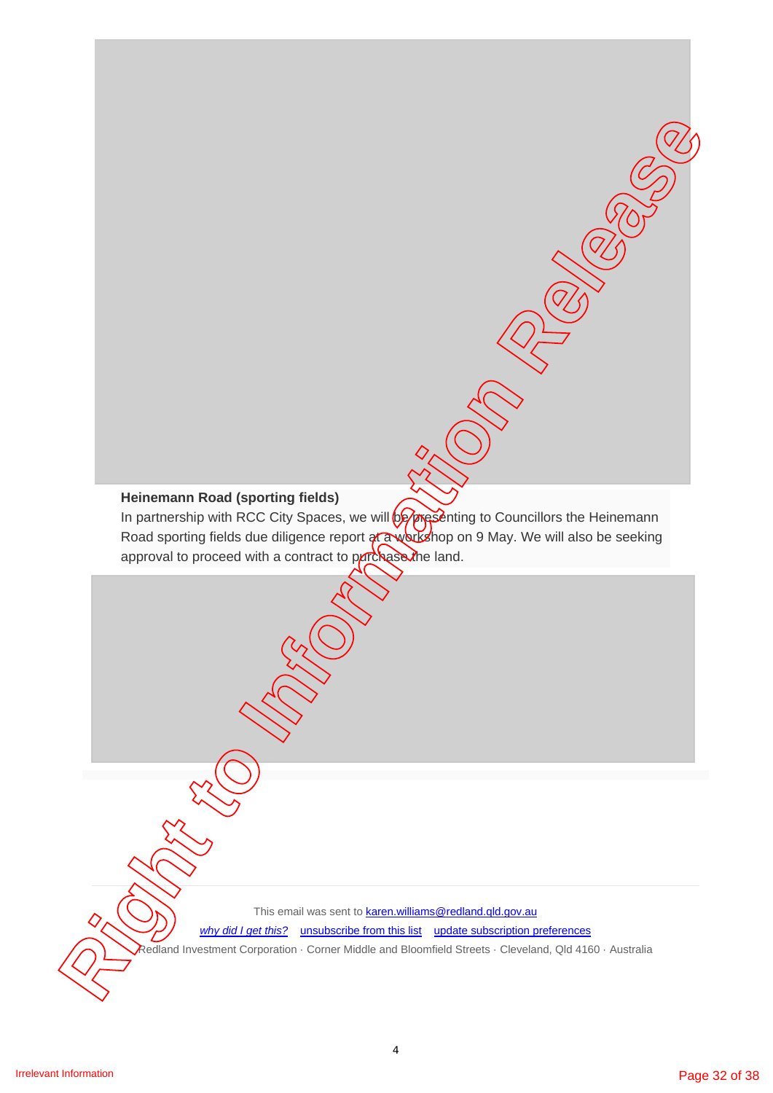### **Heinemann Road (sporting fields)**

In partnership with RCC City Spaces, we will be presenting to Councillors the Heinemann Road sporting fields due diligence report at a workshop on 9 May. We will also be seeking approval to proceed with a contract to parchase the land. **Right Toward Control of The Control of The Control of The Control of The Control of The President Control of The Control of The Control of The Control of The Control of The Control of The Control of The Control of The Con** 

This email was sent to **karen.williams@redland.qld.gov.au** 

why did I get this? unsubscribe from this list update subscription preferences

Redland Investment Corporation · Corner Middle and Bloomfield Streets · Cleveland, Qld 4160 · Australia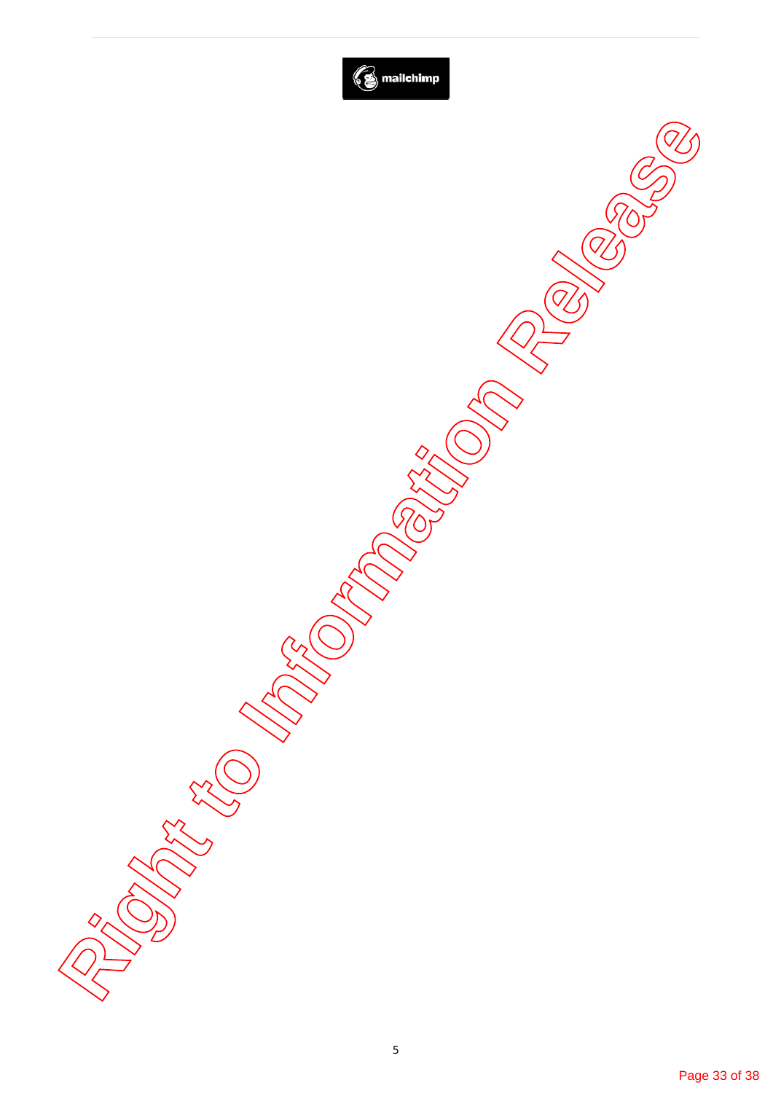

**Right to Information Religion Relationships and the Contract of Contract of Contract of Contract of Contract of Contract of Contract of Contract of Contract of Contract of Contract of Contract of Contract of Contract of C**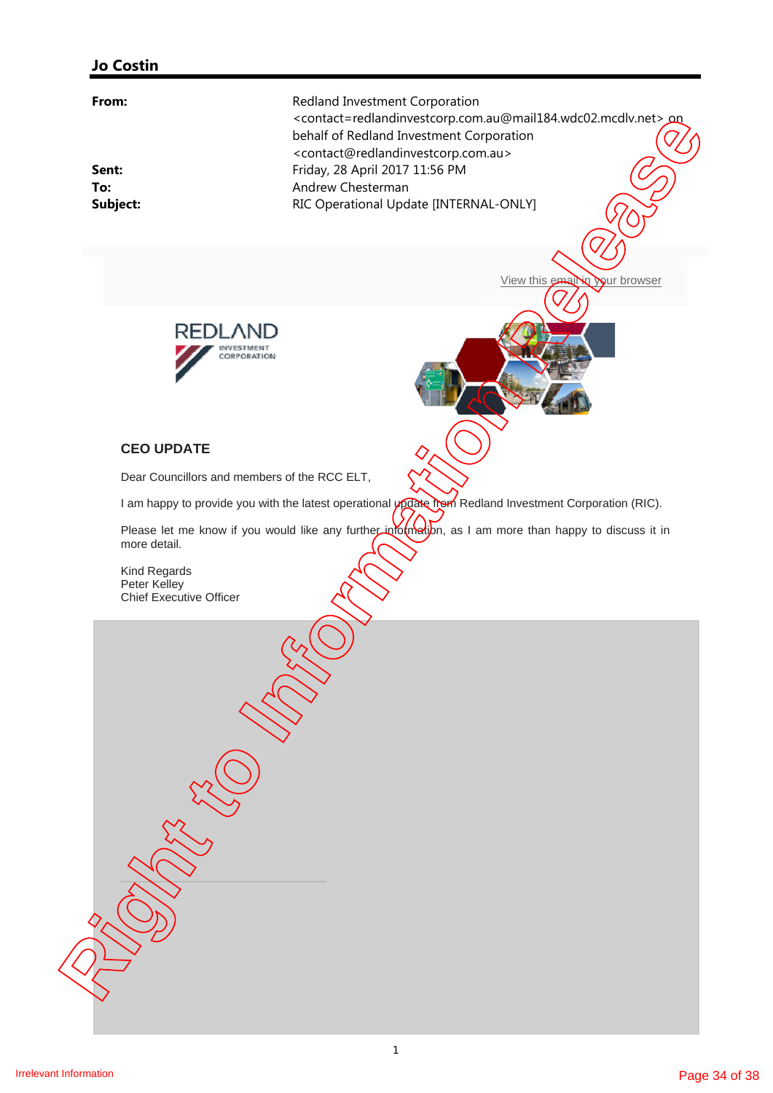# **Jo Costin**

| From:<br>Sent:<br>To:<br>Subject:                              | Redland Investment Corporation<br><contact=redlandinvestcorp.com.au@mail184.wdc02.mcdlv.net><br/>behalf of Redland Investment Corporation<br/><contact@redlandinvestcorp.com.au><br/>Friday, 28 April 2017 11:56 PM<br/>Andrew Chesterman<br/>RIC Operational Update [INTERNAL-ONLY]</contact@redlandinvestcorp.com.au></contact=redlandinvestcorp.com.au@mail184.wdc02.mcdlv.net> |
|----------------------------------------------------------------|------------------------------------------------------------------------------------------------------------------------------------------------------------------------------------------------------------------------------------------------------------------------------------------------------------------------------------------------------------------------------------|
|                                                                | View this email in your browser                                                                                                                                                                                                                                                                                                                                                    |
| REDLAN<br>INVESTMENT<br><b>CORPORATION</b>                     |                                                                                                                                                                                                                                                                                                                                                                                    |
| <b>CEO UPDATE</b>                                              |                                                                                                                                                                                                                                                                                                                                                                                    |
| Dear Councillors and members of the RCC ELT,                   |                                                                                                                                                                                                                                                                                                                                                                                    |
|                                                                | I am happy to provide you with the latest operational update from Redland Investment Corporation (RIC).                                                                                                                                                                                                                                                                            |
| more detail.                                                   | Please let me know if you would like any further information, as I am more than happy to discuss it in                                                                                                                                                                                                                                                                             |
| Kind Regards<br>Peter Kelley<br><b>Chief Executive Officer</b> |                                                                                                                                                                                                                                                                                                                                                                                    |
| EN SISTE                                                       |                                                                                                                                                                                                                                                                                                                                                                                    |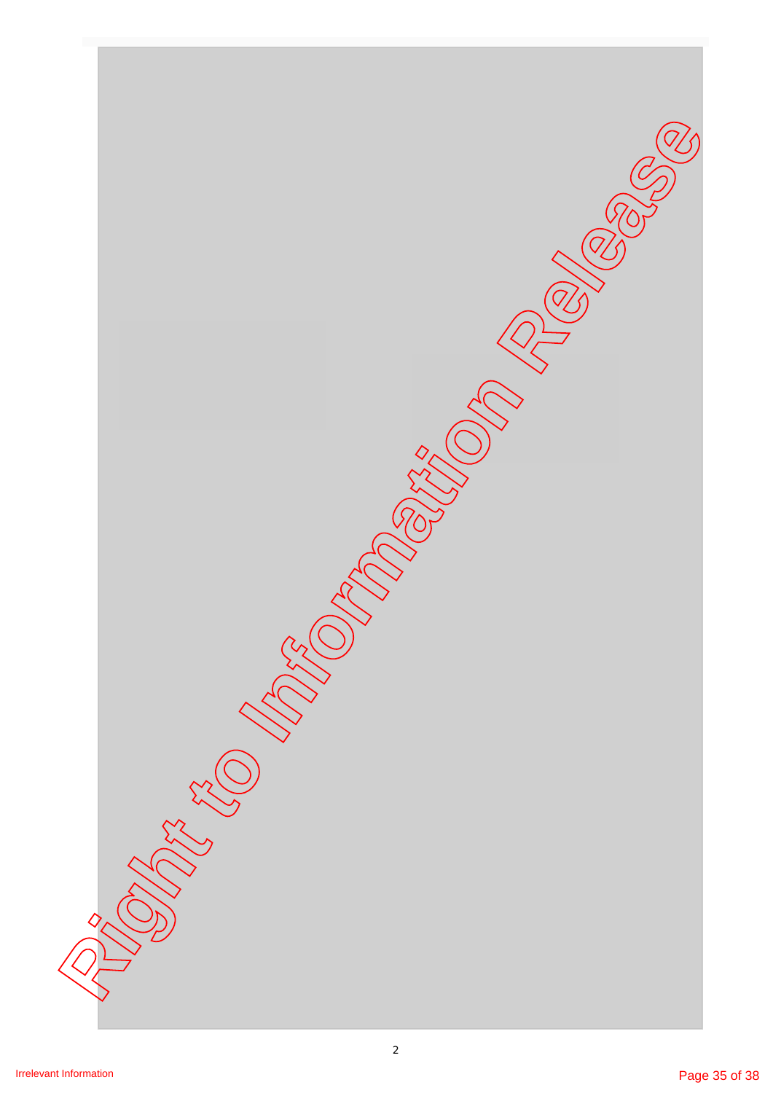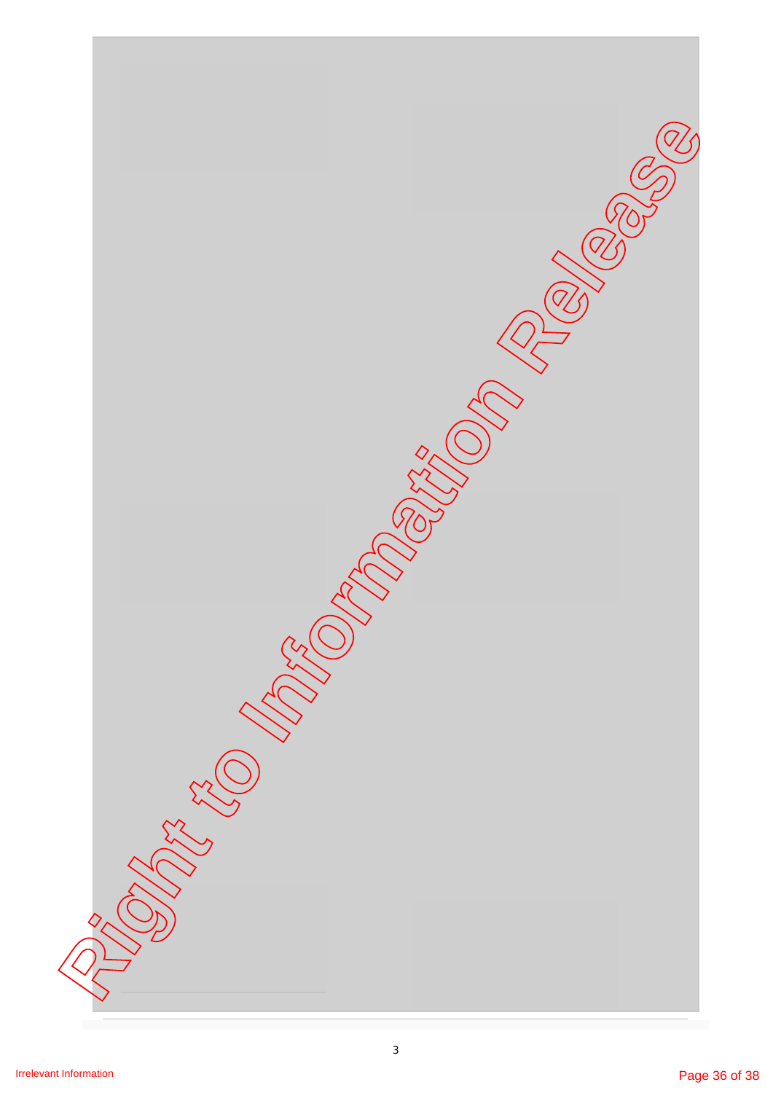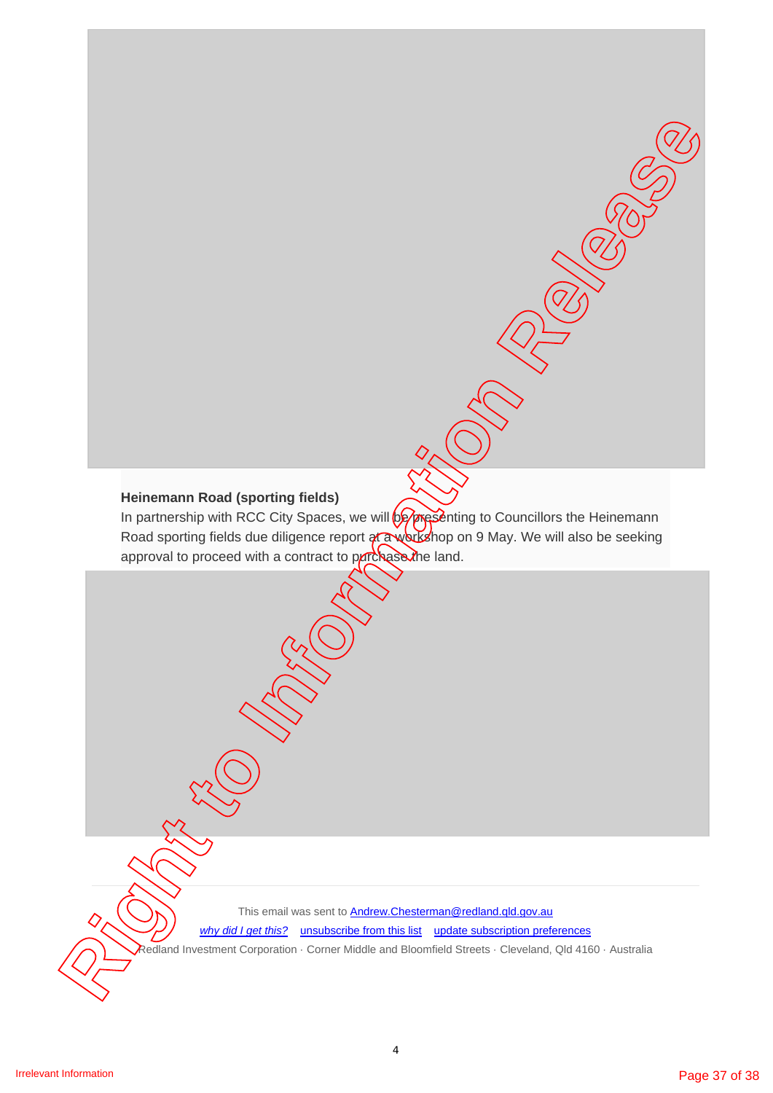### **Heinemann Road (sporting fields)**

In partnership with RCC City Spaces, we will be presenting to Councillors the Heinemann Road sporting fields due diligence report at a workshop on 9 May. We will also be seeking approval to proceed with a contract to parchase the land. **Right Toward Control of The Control of The Control of The Control of The Control of The President Control of The Control of The Control of The Control of The Control of The Control of The Control of The Control of The Con** 

This email was sent to **Andrew.Chesterman@redland.qld.gov.au** 

why did I get this? unsubscribe from this list update subscription preferences

Redland Investment Corporation · Corner Middle and Bloomfield Streets · Cleveland, Qld 4160 · Australia